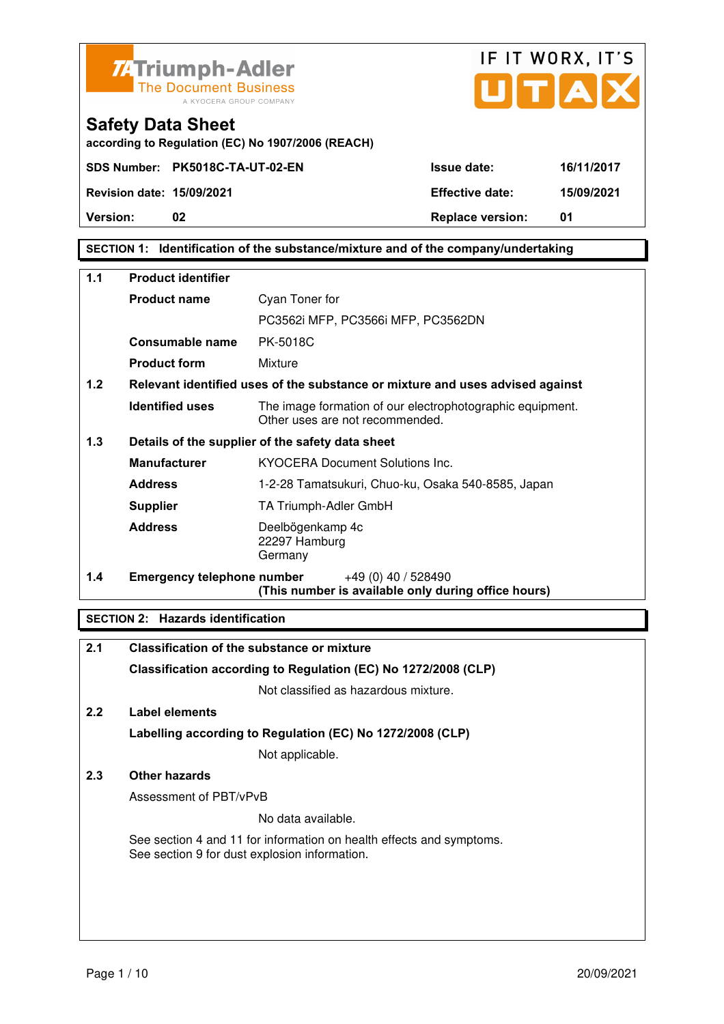



**according to Regulation (EC) No 1907/2006 (REACH)**

**Version:** 02 **Replace version:** 01

# **SECTION 1: Identification of the substance/mixture and of the company/undertaking**

| $1.1$ | <b>Product identifier</b>  |                                                                                              |  |
|-------|----------------------------|----------------------------------------------------------------------------------------------|--|
|       | <b>Product name</b>        | Cyan Toner for                                                                               |  |
|       |                            | PC3562i MFP, PC3566i MFP, PC3562DN                                                           |  |
|       | <b>Consumable name</b>     | <b>PK-5018C</b>                                                                              |  |
|       | <b>Product form</b>        | Mixture                                                                                      |  |
| 1.2   |                            | Relevant identified uses of the substance or mixture and uses advised against                |  |
|       | <b>Identified uses</b>     | The image formation of our electrophotographic equipment.<br>Other uses are not recommended. |  |
| 1.3   |                            | Details of the supplier of the safety data sheet                                             |  |
|       | <b>Manufacturer</b>        | <b>KYOCERA Document Solutions Inc.</b>                                                       |  |
|       | <b>Address</b>             | 1-2-28 Tamatsukuri, Chuo-ku, Osaka 540-8585, Japan                                           |  |
|       | <b>Supplier</b>            | TA Triumph-Adler GmbH                                                                        |  |
|       | <b>Address</b>             | Deelbögenkamp 4c<br>22297 Hamburg<br>Germany                                                 |  |
| 1.4   | Emergency telephone number | $+49(0)$ 40 / 528490<br>(This number is available only during office hours)                  |  |

# **SECTION 2: Hazards identification**

| 2.1 | <b>Classification of the substance or mixture</b>                                                                     |
|-----|-----------------------------------------------------------------------------------------------------------------------|
|     | Classification according to Regulation (EC) No 1272/2008 (CLP)                                                        |
|     | Not classified as hazardous mixture.                                                                                  |
| 2.2 | Label elements                                                                                                        |
|     | Labelling according to Regulation (EC) No 1272/2008 (CLP)                                                             |
|     | Not applicable.                                                                                                       |
| 2.3 | <b>Other hazards</b>                                                                                                  |
|     | Assessment of PBT/vPvB                                                                                                |
|     | No data available.                                                                                                    |
|     | See section 4 and 11 for information on health effects and symptoms.<br>See section 9 for dust explosion information. |
|     |                                                                                                                       |
|     |                                                                                                                       |
|     |                                                                                                                       |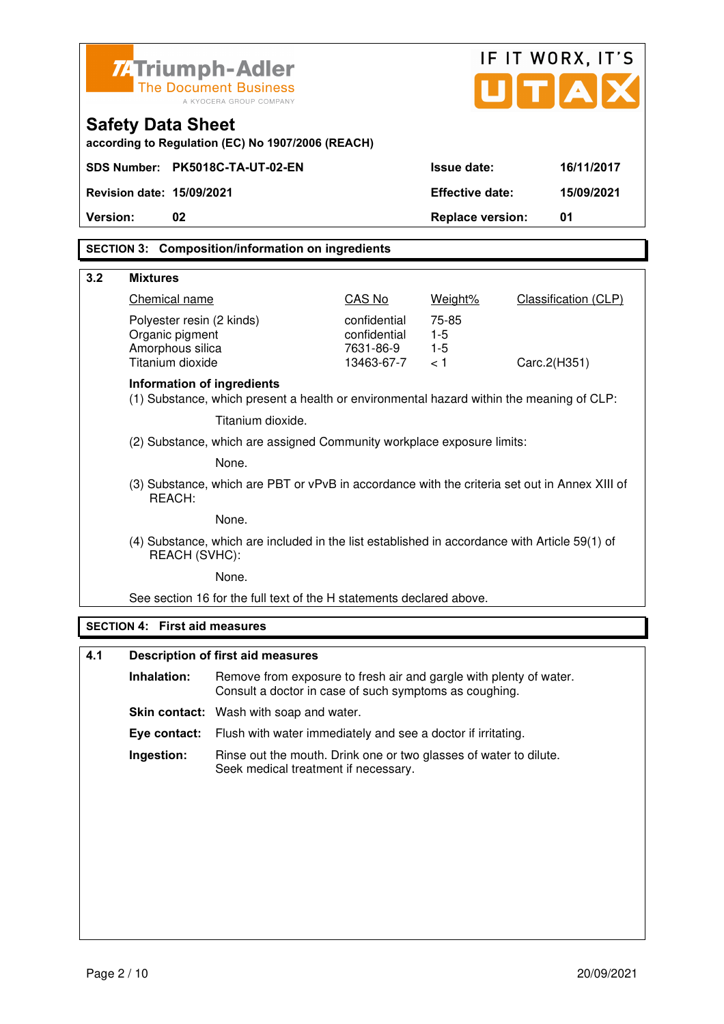|          | <b>ZATriumph-Adler</b>                                                                                         |                                                                                                                              |                           |                         | IF IT WORX, IT'S            |
|----------|----------------------------------------------------------------------------------------------------------------|------------------------------------------------------------------------------------------------------------------------------|---------------------------|-------------------------|-----------------------------|
|          |                                                                                                                | <b>The Document Business</b>                                                                                                 |                           |                         | UTA                         |
|          | <b>Safety Data Sheet</b>                                                                                       | A KYOCERA GROUP COMPANY                                                                                                      |                           |                         |                             |
|          |                                                                                                                | according to Regulation (EC) No 1907/2006 (REACH)                                                                            |                           |                         |                             |
|          |                                                                                                                | SDS Number: PK5018C-TA-UT-02-EN                                                                                              |                           | <b>Issue date:</b>      | 16/11/2017                  |
|          | <b>Revision date: 15/09/2021</b>                                                                               |                                                                                                                              |                           | <b>Effective date:</b>  | 15/09/2021                  |
| Version: | 02                                                                                                             |                                                                                                                              |                           | <b>Replace version:</b> | 01                          |
|          |                                                                                                                | <b>SECTION 3: Composition/information on ingredients</b>                                                                     |                           |                         |                             |
| 3.2      | <b>Mixtures</b>                                                                                                |                                                                                                                              |                           |                         |                             |
|          | Chemical name                                                                                                  |                                                                                                                              | CAS No                    | Weight%                 | <b>Classification (CLP)</b> |
|          | Polyester resin (2 kinds)                                                                                      |                                                                                                                              | confidential              | 75-85                   |                             |
|          | Organic pigment<br>Amorphous silica                                                                            |                                                                                                                              | confidential<br>7631-86-9 | $1-5$<br>$1-5$          |                             |
|          | Titanium dioxide                                                                                               |                                                                                                                              | 13463-67-7                | < 1                     | Carc.2(H351)                |
|          | Information of ingredients                                                                                     | (1) Substance, which present a health or environmental hazard within the meaning of CLP:                                     |                           |                         |                             |
|          |                                                                                                                | Titanium dioxide.                                                                                                            |                           |                         |                             |
|          |                                                                                                                | (2) Substance, which are assigned Community workplace exposure limits:                                                       |                           |                         |                             |
|          |                                                                                                                | None.                                                                                                                        |                           |                         |                             |
|          | (3) Substance, which are PBT or vPvB in accordance with the criteria set out in Annex XIII of<br>REACH:        |                                                                                                                              |                           |                         |                             |
|          | None.                                                                                                          |                                                                                                                              |                           |                         |                             |
|          | (4) Substance, which are included in the list established in accordance with Article 59(1) of<br>REACH (SVHC): |                                                                                                                              |                           |                         |                             |
|          |                                                                                                                | None.                                                                                                                        |                           |                         |                             |
|          |                                                                                                                | See section 16 for the full text of the H statements declared above.                                                         |                           |                         |                             |
|          | <b>SECTION 4: First aid measures</b>                                                                           |                                                                                                                              |                           |                         |                             |
| 4.1      |                                                                                                                | <b>Description of first aid measures</b>                                                                                     |                           |                         |                             |
|          | Inhalation:                                                                                                    | Remove from exposure to fresh air and gargle with plenty of water.<br>Consult a doctor in case of such symptoms as coughing. |                           |                         |                             |
|          |                                                                                                                | Skin contact: Wash with soap and water.                                                                                      |                           |                         |                             |
|          | Eye contact:                                                                                                   | Flush with water immediately and see a doctor if irritating.                                                                 |                           |                         |                             |
|          | Ingestion:                                                                                                     | Rinse out the mouth. Drink one or two glasses of water to dilute.<br>Seek medical treatment if necessary.                    |                           |                         |                             |
|          |                                                                                                                |                                                                                                                              |                           |                         |                             |
|          |                                                                                                                |                                                                                                                              |                           |                         |                             |
|          |                                                                                                                |                                                                                                                              |                           |                         |                             |
|          |                                                                                                                |                                                                                                                              |                           |                         |                             |
|          |                                                                                                                |                                                                                                                              |                           |                         |                             |
|          |                                                                                                                |                                                                                                                              |                           |                         |                             |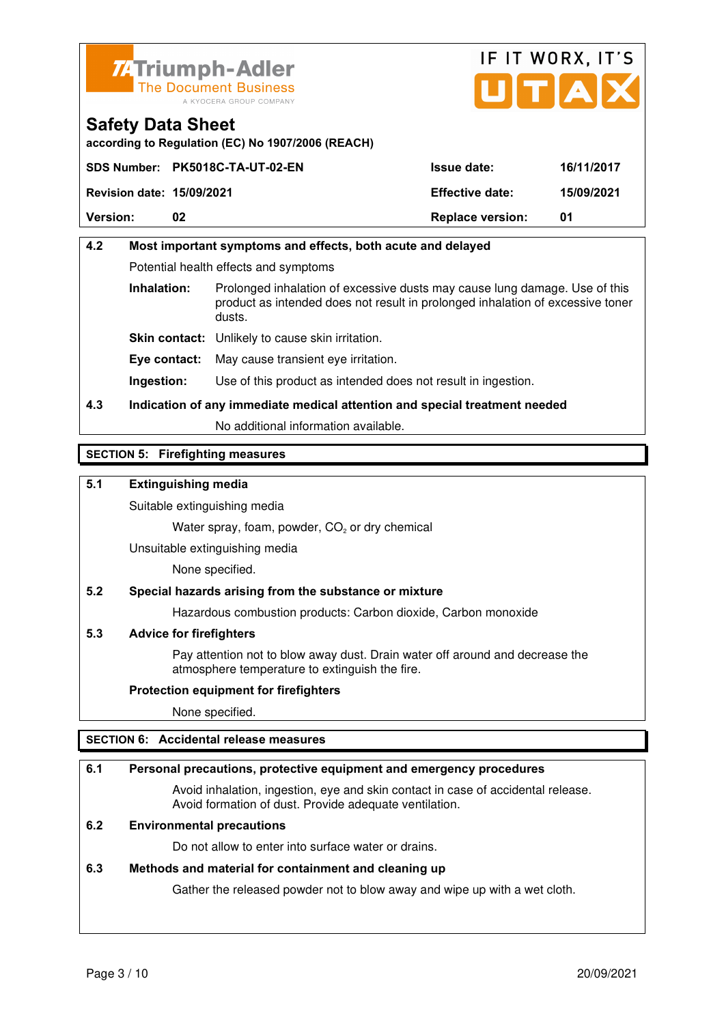



**according to Regulation (EC) No 1907/2006 (REACH)**

|                                  | SDS Number: PK5018C-TA-UT-02-EN | <b>Issue date:</b>      | 16/11/2017 |
|----------------------------------|---------------------------------|-------------------------|------------|
| <b>Revision date: 15/09/2021</b> |                                 | <b>Effective date:</b>  | 15/09/2021 |
| <b>Version:</b>                  | 02                              | <b>Replace version:</b> | 01         |

# **4.2 Most important symptoms and effects, both acute and delayed**  Potential health effects and symptoms **Inhalation:** Prolonged inhalation of excessive dusts may cause lung damage. Use of this product as intended does not result in prolonged inhalation of excessive toner dusts. **Skin contact:** Unlikely to cause skin irritation. **Eye contact:** May cause transient eye irritation.

**Ingestion:** Use of this product as intended does not result in ingestion.

# **4.3 Indication of any immediate medical attention and special treatment needed**

No additional information available.

# **SECTION 5: Firefighting measures**

# **5.1 Extinguishing media**

Suitable extinguishing media

Water spray, foam, powder,  $CO<sub>2</sub>$  or dry chemical

Unsuitable extinguishing media

None specified.

## **5.2 Special hazards arising from the substance or mixture**

Hazardous combustion products: Carbon dioxide, Carbon monoxide

## **5.3 Advice for firefighters**

 Pay attention not to blow away dust. Drain water off around and decrease the atmosphere temperature to extinguish the fire.

## **Protection equipment for firefighters**

None specified.

## **SECTION 6: Accidental release measures**

## **6.1 Personal precautions, protective equipment and emergency procedures**

 Avoid inhalation, ingestion, eye and skin contact in case of accidental release. Avoid formation of dust. Provide adequate ventilation.

## **6.2 Environmental precautions**

Do not allow to enter into surface water or drains.

## **6.3 Methods and material for containment and cleaning up**

Gather the released powder not to blow away and wipe up with a wet cloth.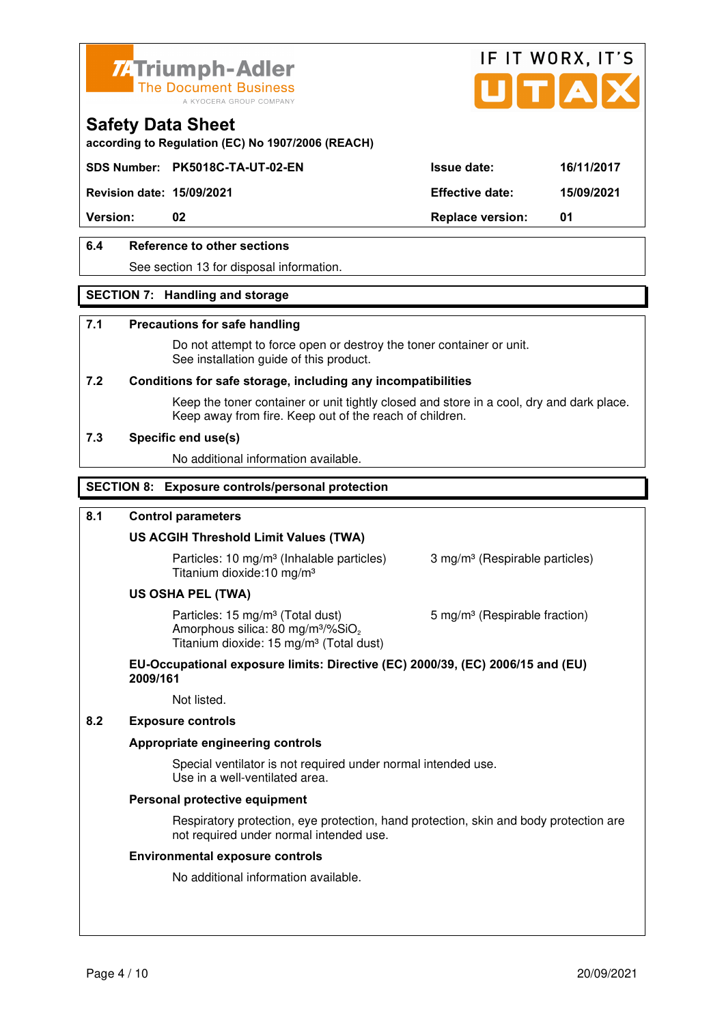



**according to Regulation (EC) No 1907/2006 (REACH)**

# **SDS Number: PK5018C-TA-UT-02-EN Issue date: 16/11/2017**

**Revision date: 15/09/2021 Effective date: 15/09/2021** 

**Version:** 02 **Replace version:** 01

# **6.4 Reference to other sections**

See section 13 for disposal information.

## **SECTION 7: Handling and storage**

### **7.1 Precautions for safe handling**

 Do not attempt to force open or destroy the toner container or unit. See installation guide of this product.

### **7.2 Conditions for safe storage, including any incompatibilities**

Keep the toner container or unit tightly closed and store in a cool, dry and dark place. Keep away from fire. Keep out of the reach of children.

### **7.3 Specific end use(s)**

No additional information available.

### **SECTION 8: Exposure controls/personal protection**

### **8.1 Control parameters**

## **US ACGIH Threshold Limit Values (TWA)**

Particles: 10 mg/m<sup>3</sup> (Inhalable particles) 3 mg/m<sup>3</sup> (Respirable particles) Titanium dioxide:10 mg/m³

### **US OSHA PEL (TWA)**

Particles: 15 mg/m<sup>3</sup> (Total dust) 5 mg/m<sup>3</sup> (Respirable fraction) Amorphous silica:  $80 \text{ mg/m}^3/\% \text{SiO}_2$ Titanium dioxide: 15 mg/m<sup>3</sup> (Total dust)

# **EU-Occupational exposure limits: Directive (EC) 2000/39, (EC) 2006/15 and (EU) 2009/161**

Not listed.

### **8.2 Exposure controls**

### **Appropriate engineering controls**

 Special ventilator is not required under normal intended use. Use in a well-ventilated area.

### **Personal protective equipment**

 Respiratory protection, eye protection, hand protection, skin and body protection are not required under normal intended use.

### **Environmental exposure controls**

No additional information available.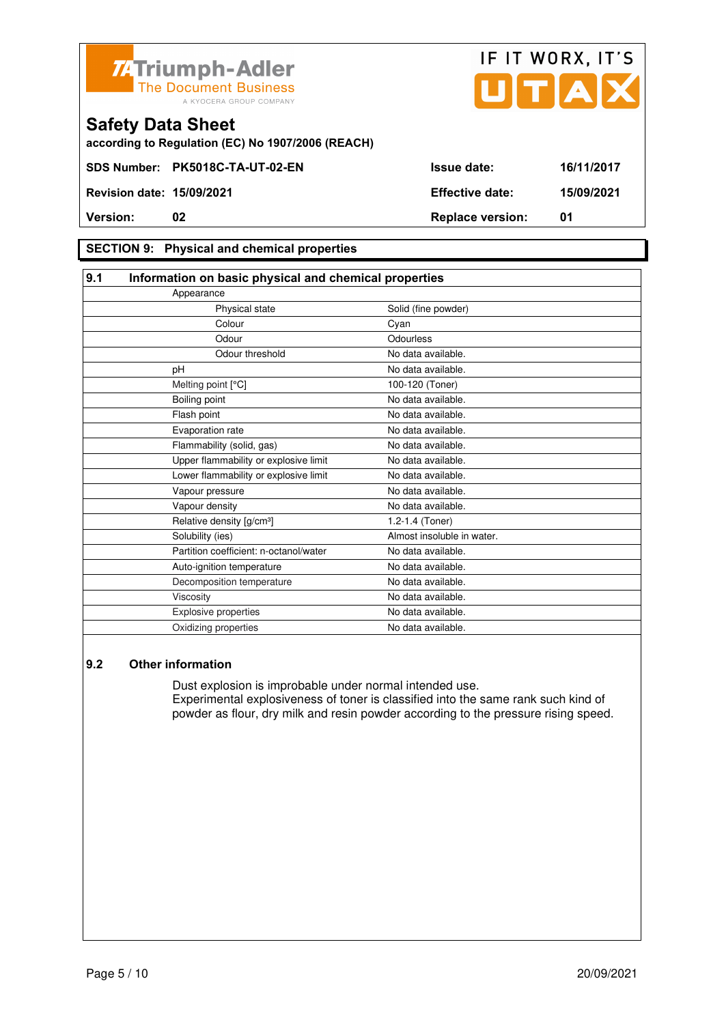



# **SECTION 9: Physical and chemical properties**

| 9.1<br>Information on basic physical and chemical properties |                            |
|--------------------------------------------------------------|----------------------------|
| Appearance                                                   |                            |
| Physical state                                               | Solid (fine powder)        |
| Colour                                                       | Cyan                       |
| Odour                                                        | Odourless                  |
| Odour threshold                                              | No data available.         |
| pH                                                           | No data available.         |
| Melting point [°C]                                           | 100-120 (Toner)            |
| Boiling point                                                | No data available.         |
| Flash point                                                  | No data available.         |
| Evaporation rate                                             | No data available.         |
| Flammability (solid, gas)                                    | No data available.         |
| Upper flammability or explosive limit                        | No data available.         |
| Lower flammability or explosive limit                        | No data available.         |
| Vapour pressure                                              | No data available.         |
| Vapour density                                               | No data available.         |
| Relative density [g/cm <sup>3</sup> ]                        | 1.2-1.4 (Toner)            |
| Solubility (ies)                                             | Almost insoluble in water. |
| Partition coefficient: n-octanol/water                       | No data available.         |
| Auto-ignition temperature                                    | No data available.         |
| Decomposition temperature                                    | No data available.         |
| Viscosity                                                    | No data available.         |
| <b>Explosive properties</b>                                  | No data available.         |
| Oxidizing properties                                         | No data available.         |

# **9.2 Other information**

 Dust explosion is improbable under normal intended use. Experimental explosiveness of toner is classified into the same rank such kind of powder as flour, dry milk and resin powder according to the pressure rising speed.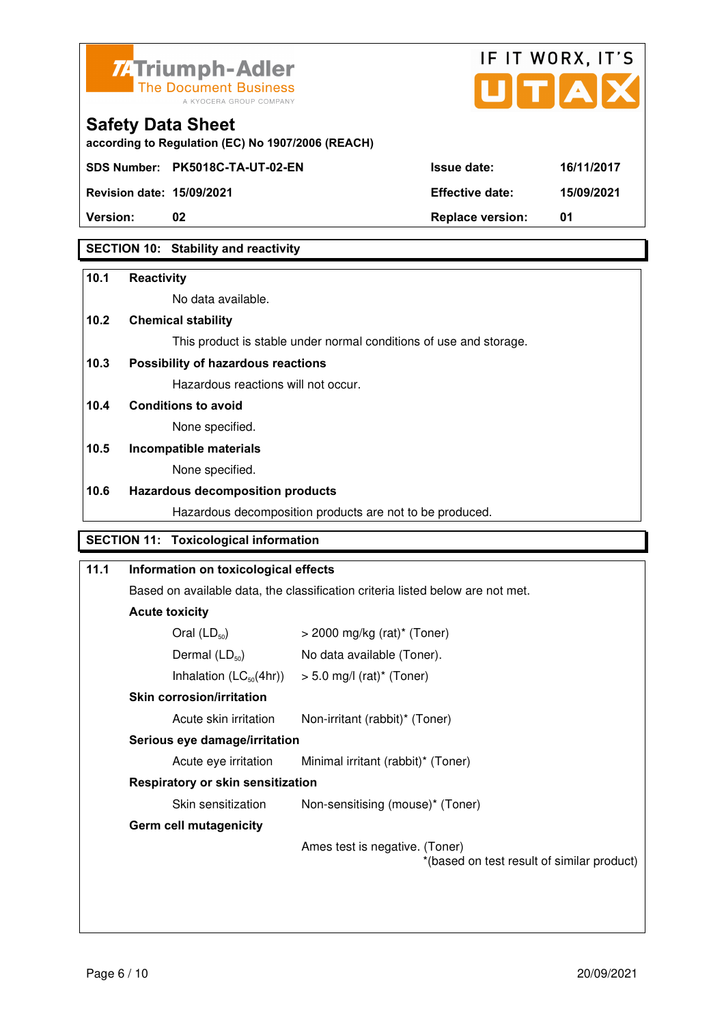



**Version:** 02 **Replace version:** 01

# **SECTION 10: Stability and reactivity**

### **10.1 Reactivity**

No data available.

# **10.2 Chemical stability**

This product is stable under normal conditions of use and storage.

# **10.3 Possibility of hazardous reactions**

Hazardous reactions will not occur.

### **10.4 Conditions to avoid**

None specified.

### **10.5 Incompatible materials**

None specified.

# **10.6 Hazardous decomposition products**

Hazardous decomposition products are not to be produced.

# **SECTION 11: Toxicological information**

| 11.1 | Information on toxicological effects                                           |                                                                              |  |
|------|--------------------------------------------------------------------------------|------------------------------------------------------------------------------|--|
|      | Based on available data, the classification criteria listed below are not met. |                                                                              |  |
|      | <b>Acute toxicity</b>                                                          |                                                                              |  |
|      | Oral $(LD_{50})$                                                               | $>$ 2000 mg/kg (rat)* (Toner)                                                |  |
|      | Dermal $(LD_{50})$                                                             | No data available (Toner).                                                   |  |
|      |                                                                                | Inhalation $(LC_{50}(4hr))$ > 5.0 mg/l (rat) <sup>*</sup> (Toner)            |  |
|      | <b>Skin corrosion/irritation</b>                                               |                                                                              |  |
|      | Acute skin irritation                                                          | Non-irritant (rabbit)* (Toner)                                               |  |
|      | Serious eye damage/irritation                                                  |                                                                              |  |
|      | Acute eye irritation                                                           | Minimal irritant (rabbit)* (Toner)                                           |  |
|      | Respiratory or skin sensitization                                              |                                                                              |  |
|      | Skin sensitization                                                             | Non-sensitising (mouse)* (Toner)                                             |  |
|      | <b>Germ cell mutagenicity</b>                                                  |                                                                              |  |
|      |                                                                                | Ames test is negative. (Toner)<br>*(based on test result of similar product) |  |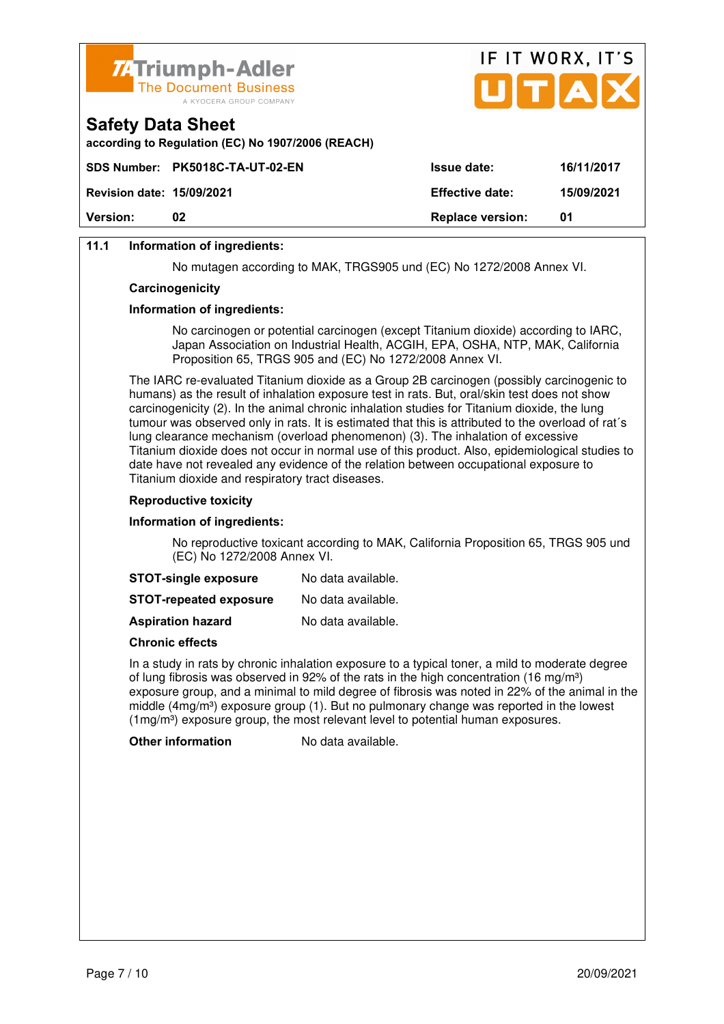

| <b>Version:</b>                  | 02                                                                                 | <b>Replace version:</b> | 01         |
|----------------------------------|------------------------------------------------------------------------------------|-------------------------|------------|
| <b>Revision date: 15/09/2021</b> |                                                                                    | <b>Effective date:</b>  | 15/09/2021 |
|                                  | SDS Number: PK5018C-TA-UT-02-EN                                                    | <b>Issue date:</b>      | 16/11/2017 |
| <b>Safety Data Sheet</b>         | according to Regulation (EC) No 1907/2006 (REACH)                                  |                         |            |
|                                  | <b>74 Triumph-Adler</b><br><b>The Document Business</b><br>A KYOCERA GROUP COMPANY |                         | UTAX       |

IF IT WORX IT'S

# **11.1 Information of ingredients:**

No mutagen according to MAK, TRGS905 und (EC) No 1272/2008 Annex VI.

#### **Carcinogenicity**

#### **Information of ingredients:**

 No carcinogen or potential carcinogen (except Titanium dioxide) according to IARC, Japan Association on Industrial Health, ACGIH, EPA, OSHA, NTP, MAK, California Proposition 65, TRGS 905 and (EC) No 1272/2008 Annex VI.

 The IARC re-evaluated Titanium dioxide as a Group 2B carcinogen (possibly carcinogenic to humans) as the result of inhalation exposure test in rats. But, oral/skin test does not show carcinogenicity (2). In the animal chronic inhalation studies for Titanium dioxide, the lung tumour was observed only in rats. It is estimated that this is attributed to the overload of rat´s lung clearance mechanism (overload phenomenon) (3). The inhalation of excessive Titanium dioxide does not occur in normal use of this product. Also, epidemiological studies to date have not revealed any evidence of the relation between occupational exposure to Titanium dioxide and respiratory tract diseases.

#### **Reproductive toxicity**

#### **Information of ingredients:**

 No reproductive toxicant according to MAK, California Proposition 65, TRGS 905 und (EC) No 1272/2008 Annex VI.

| <b>STOT-single exposure</b> | No data available. |
|-----------------------------|--------------------|
|-----------------------------|--------------------|

**STOT-repeated exposure** No data available.

**Aspiration hazard** No data available.

#### **Chronic effects**

 In a study in rats by chronic inhalation exposure to a typical toner, a mild to moderate degree of lung fibrosis was observed in 92% of the rats in the high concentration (16 mg/m<sup>3</sup>) exposure group, and a minimal to mild degree of fibrosis was noted in 22% of the animal in the middle  $(4mg/m<sup>3</sup>)$  exposure group (1). But no pulmonary change was reported in the lowest  $(1ma/m<sup>3</sup>)$  exposure group, the most relevant level to potential human exposures.

**Other information** No data available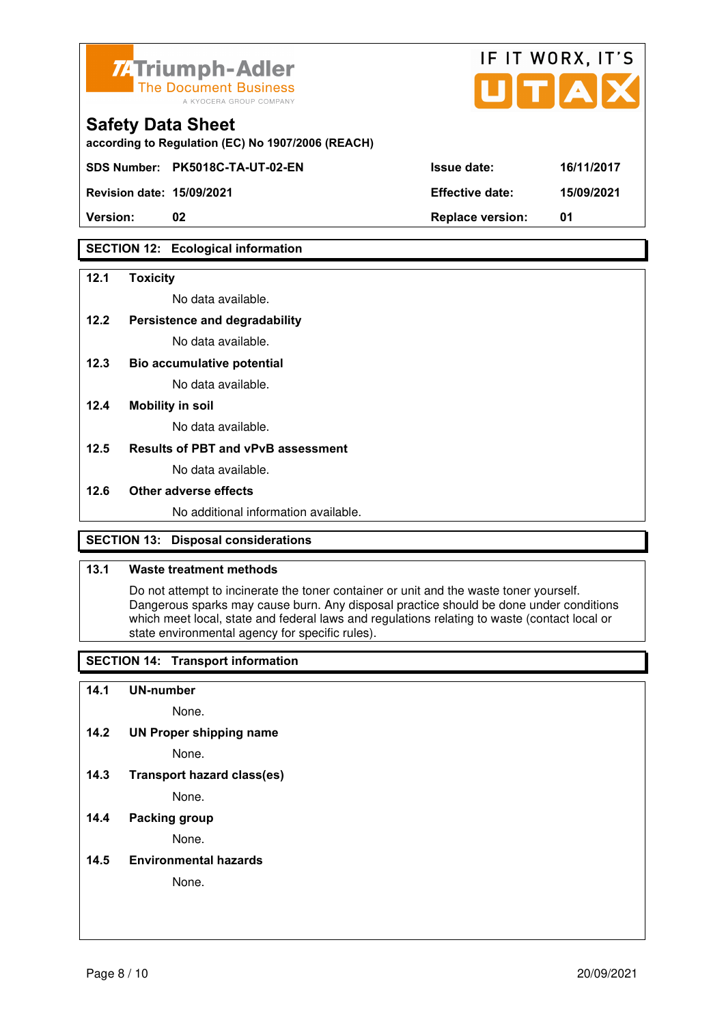

| <b>74 Triumph-Adler</b><br>The Document Business<br>A KYOCERA GROUP COMPANY   |                        | IF II WUKA.II S<br>UTAX |  |
|-------------------------------------------------------------------------------|------------------------|-------------------------|--|
| <b>Safety Data Sheet</b><br>according to Regulation (EC) No 1907/2006 (REACH) |                        |                         |  |
| SDS Number: PK5018C-TA-UT-02-EN                                               | <b>Issue date:</b>     | 16/11/2017              |  |
| <b>Revision date: 15/09/2021</b>                                              | <b>Effective date:</b> | 15/09/2021              |  |

 $FIT$   $MOR$ 

 $\overline{\phantom{a}}$ 

**Version: 02 Replace version: 01** 

# **SECTION 12: Ecological information**

### **12.1 Toxicity**

No data available.

### **12.2 Persistence and degradability**

No data available.

**12.3 Bio accumulative potential** 

No data available.

### **12.4 Mobility in soil**

No data available.

## **12.5 Results of PBT and vPvB assessment**

No data available.

### **12.6 Other adverse effects**

No additional information available.

# **SECTION 13: Disposal considerations**

## **13.1 Waste treatment methods**

 Do not attempt to incinerate the toner container or unit and the waste toner yourself. Dangerous sparks may cause burn. Any disposal practice should be done under conditions which meet local, state and federal laws and regulations relating to waste (contact local or state environmental agency for specific rules).

# **SECTION 14: Transport information**

### **14.1 UN-number**

None.

**14.2 UN Proper shipping name** 

None.

**14.3 Transport hazard class(es)** 

None.

# **14.4 Packing group**

None.

### **14.5 Environmental hazards**

None.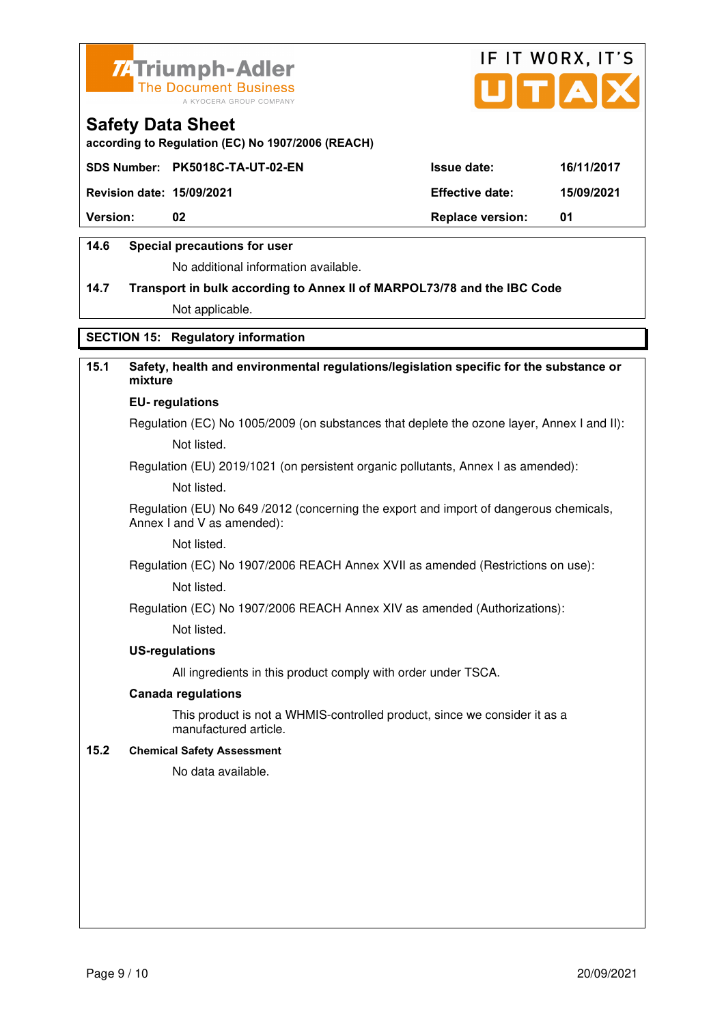



**according to Regulation (EC) No 1907/2006 (REACH)**

|                                  | SDS Number: PK5018C-TA-UT-02-EN | <b>Issue date:</b>      | 16/11/2017 |
|----------------------------------|---------------------------------|-------------------------|------------|
| <b>Revision date: 15/09/2021</b> |                                 | <b>Effective date:</b>  | 15/09/2021 |
| <b>Version:</b>                  | 02                              | <b>Replace version:</b> | -01        |
|                                  |                                 |                         |            |

# **14.6 Special precautions for user**

No additional information available.

# **14.7 Transport in bulk according to Annex II of MARPOL73/78 and the IBC Code** Not applicable.

**SECTION 15: Regulatory information** 

# **15.1 Safety, health and environmental regulations/legislation specific for the substance or mixture**

### **EU- regulations**

Regulation (EC) No 1005/2009 (on substances that deplete the ozone layer, Annex I and II): Not listed.

Regulation (EU) 2019/1021 (on persistent organic pollutants, Annex I as amended):

Not listed.

 Regulation (EU) No 649 /2012 (concerning the export and import of dangerous chemicals, Annex I and V as amended):

Not listed.

 Regulation (EC) No 1907/2006 REACH Annex XVII as amended (Restrictions on use): Not listed.

Regulation (EC) No 1907/2006 REACH Annex XIV as amended (Authorizations):

Not listed.

### **US-regulations**

All ingredients in this product comply with order under TSCA.

### **Canada regulations**

 This product is not a WHMIS-controlled product, since we consider it as a manufactured article.

### **15.2 Chemical Safety Assessment**

No data available.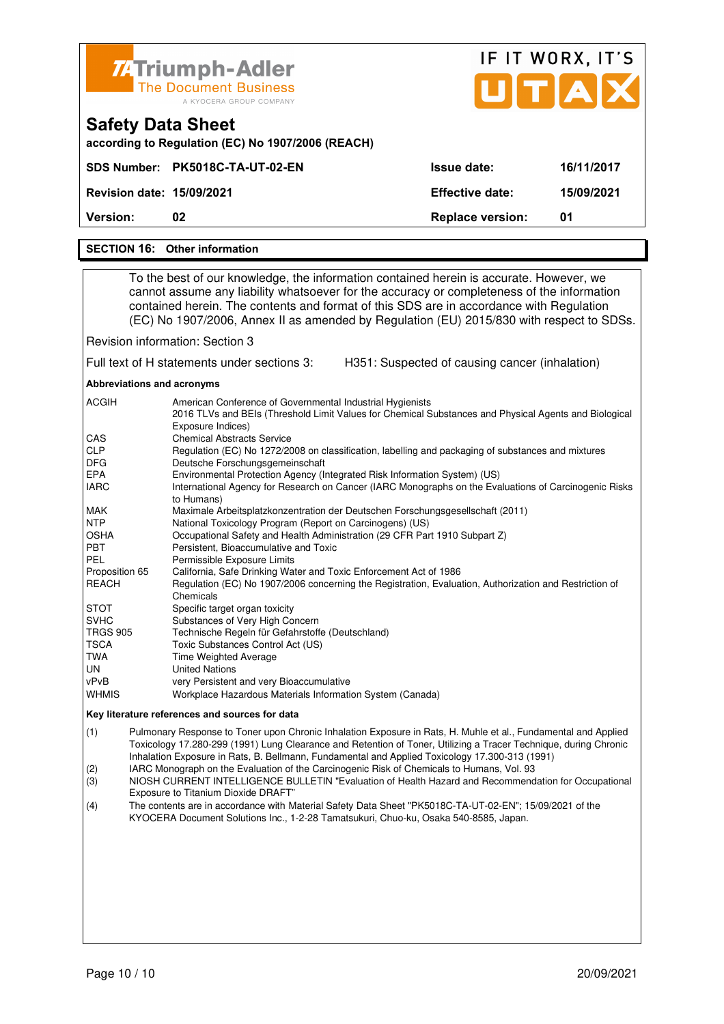| <b>ZATriumph-Adler</b><br><b>The Document Business</b><br>A KYOCERA GROUP COMPANY                                                                                                                                                                                                |                         | IF IT WORX, IT'S<br>UTAX |
|----------------------------------------------------------------------------------------------------------------------------------------------------------------------------------------------------------------------------------------------------------------------------------|-------------------------|--------------------------|
| <b>Safety Data Sheet</b><br>according to Regulation (EC) No 1907/2006 (REACH)                                                                                                                                                                                                    |                         |                          |
| SDS Number: PK5018C-TA-UT-02-EN                                                                                                                                                                                                                                                  | Issue date:             | 16/11/2017               |
| <b>Revision date: 15/09/2021</b>                                                                                                                                                                                                                                                 | <b>Effective date:</b>  | 15/09/2021               |
| Version:<br>02                                                                                                                                                                                                                                                                   | <b>Replace version:</b> | 01                       |
| <b>SECTION 16: Other information</b>                                                                                                                                                                                                                                             |                         |                          |
| To the best of our knowledge, the information contained herein is accurate. However, we<br>cannot assume any liability whatsoever for the accuracy or completeness of the information<br>contained herein. The contents and format of this SDS are in accordance with Regulation |                         |                          |

(EC) No 1907/2006, Annex II as amended by Regulation (EU) 2015/830 with respect to SDSs.

Revision information: Section 3

Full text of H statements under sections 3: H351: Suspected of causing cancer (inhalation)

**Abbreviations and acronyms** 

| American Conference of Governmental Industrial Hygienists                                                                  |
|----------------------------------------------------------------------------------------------------------------------------|
| 2016 TLVs and BEIs (Threshold Limit Values for Chemical Substances and Physical Agents and Biological<br>Exposure Indices) |
| <b>Chemical Abstracts Service</b>                                                                                          |
| Regulation (EC) No 1272/2008 on classification, labelling and packaging of substances and mixtures                         |
| Deutsche Forschungsgemeinschaft                                                                                            |
| Environmental Protection Agency (Integrated Risk Information System) (US)                                                  |
| International Agency for Research on Cancer (IARC Monographs on the Evaluations of Carcinogenic Risks<br>to Humans)        |
| Maximale Arbeitsplatzkonzentration der Deutschen Forschungsgesellschaft (2011)                                             |
| National Toxicology Program (Report on Carcinogens) (US)                                                                   |
| Occupational Safety and Health Administration (29 CFR Part 1910 Subpart Z)                                                 |
| Persistent, Bioaccumulative and Toxic                                                                                      |
| Permissible Exposure Limits                                                                                                |
| California, Safe Drinking Water and Toxic Enforcement Act of 1986                                                          |
| Regulation (EC) No 1907/2006 concerning the Registration, Evaluation, Authorization and Restriction of                     |
| Chemicals                                                                                                                  |
| Specific target organ toxicity                                                                                             |
| Substances of Very High Concern                                                                                            |
| Technische Regeln für Gefahrstoffe (Deutschland)                                                                           |
| Toxic Substances Control Act (US)                                                                                          |
| Time Weighted Average                                                                                                      |
| <b>United Nations</b>                                                                                                      |
| very Persistent and very Bioaccumulative                                                                                   |
| Workplace Hazardous Materials Information System (Canada)                                                                  |
|                                                                                                                            |

#### **Key literature references and sources for data**

(1) Pulmonary Response to Toner upon Chronic Inhalation Exposure in Rats, H. Muhle et al., Fundamental and Applied Toxicology 17.280-299 (1991) Lung Clearance and Retention of Toner, Utilizing a Tracer Technique, during Chronic Inhalation Exposure in Rats, B. Bellmann, Fundamental and Applied Toxicology 17.300-313 (1991)

(2) IARC Monograph on the Evaluation of the Carcinogenic Risk of Chemicals to Humans, Vol. 93

(3) NIOSH CURRENT INTELLIGENCE BULLETIN "Evaluation of Health Hazard and Recommendation for Occupational Exposure to Titanium Dioxide DRAFT"

(4) The contents are in accordance with Material Safety Data Sheet "PK5018C-TA-UT-02-EN"; 15/09/2021 of the KYOCERA Document Solutions Inc., 1-2-28 Tamatsukuri, Chuo-ku, Osaka 540-8585, Japan.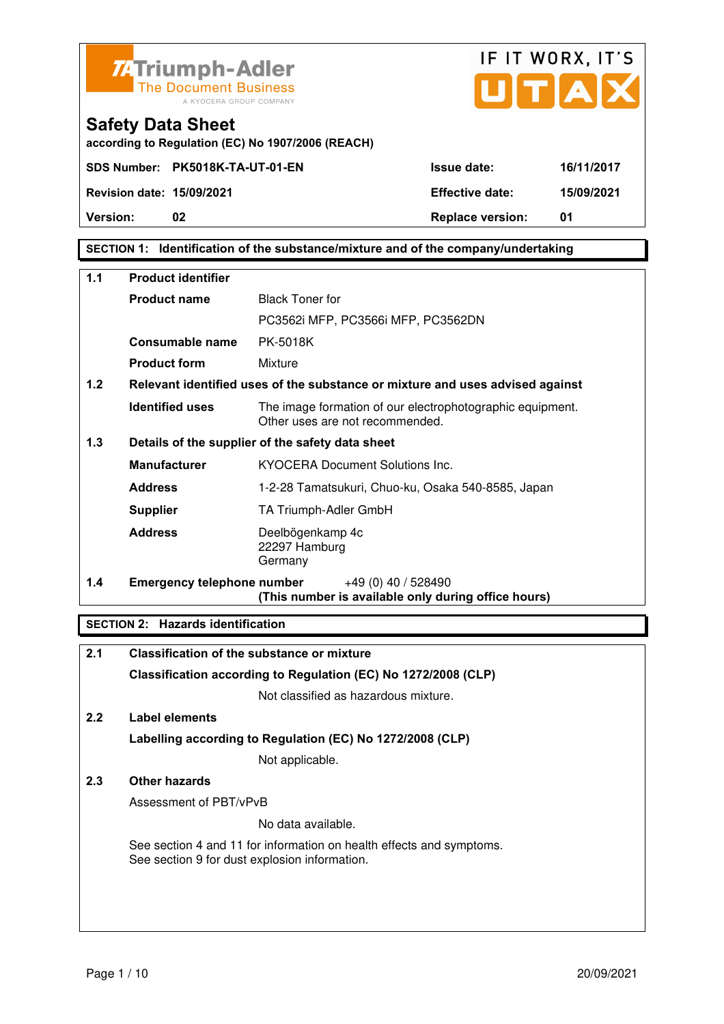



**according to Regulation (EC) No 1907/2006 (REACH)**

**SECTION 1: Identification of the substance/mixture and of the company/undertaking** 

| $1.1$            | <b>Product identifier</b>         |                                                                                              |  |
|------------------|-----------------------------------|----------------------------------------------------------------------------------------------|--|
|                  | <b>Product name</b>               | <b>Black Toner for</b>                                                                       |  |
|                  |                                   | PC3562i MFP, PC3566i MFP, PC3562DN                                                           |  |
|                  | Consumable name                   | PK-5018K                                                                                     |  |
|                  | <b>Product form</b>               | Mixture                                                                                      |  |
| 1.2 <sub>2</sub> |                                   | Relevant identified uses of the substance or mixture and uses advised against                |  |
|                  | <b>Identified uses</b>            | The image formation of our electrophotographic equipment.<br>Other uses are not recommended. |  |
| 1.3              |                                   | Details of the supplier of the safety data sheet                                             |  |
|                  | <b>Manufacturer</b>               | KYOCERA Document Solutions Inc.                                                              |  |
|                  | <b>Address</b>                    | 1-2-28 Tamatsukuri, Chuo-ku, Osaka 540-8585, Japan                                           |  |
|                  | <b>Supplier</b>                   | TA Triumph-Adler GmbH                                                                        |  |
|                  | <b>Address</b>                    | Deelbögenkamp 4c<br>22297 Hamburg<br>Germany                                                 |  |
| 1.4              | <b>Emergency telephone number</b> | $+49(0)$ 40 / 528490<br>(This number is available only during office hours)                  |  |

# **SECTION 2: Hazards identification**

| 2.1           | <b>Classification of the substance or mixture</b>                                                                     |
|---------------|-----------------------------------------------------------------------------------------------------------------------|
|               | Classification according to Regulation (EC) No 1272/2008 (CLP)                                                        |
|               | Not classified as hazardous mixture.                                                                                  |
| $2.2^{\circ}$ | Label elements                                                                                                        |
|               | Labelling according to Regulation (EC) No 1272/2008 (CLP)                                                             |
|               | Not applicable.                                                                                                       |
| 2.3           | Other hazards                                                                                                         |
|               | Assessment of PBT/vPvB                                                                                                |
|               | No data available.                                                                                                    |
|               | See section 4 and 11 for information on health effects and symptoms.<br>See section 9 for dust explosion information. |
|               |                                                                                                                       |
|               |                                                                                                                       |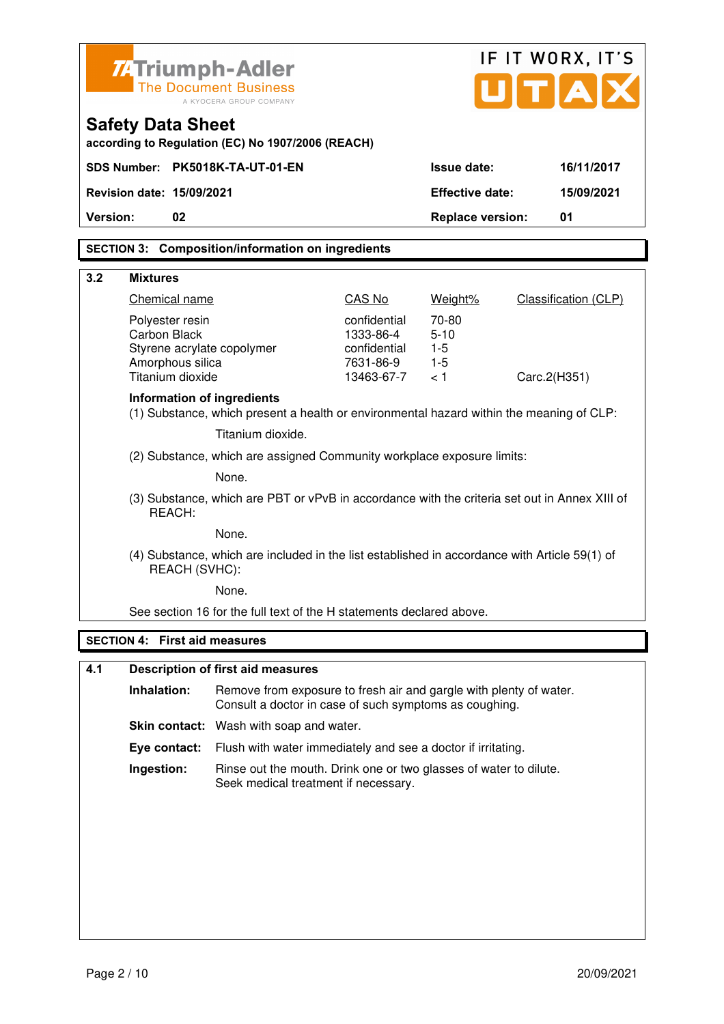|                                                                                   |                                                                                                                |                                                                                                                              |                           |                         | IF IT WORX, IT'S            |
|-----------------------------------------------------------------------------------|----------------------------------------------------------------------------------------------------------------|------------------------------------------------------------------------------------------------------------------------------|---------------------------|-------------------------|-----------------------------|
| <b>ZATriumph-Adler</b><br><b>The Document Business</b><br>A KYOCERA GROUP COMPANY |                                                                                                                |                                                                                                                              |                           | UITIA                   |                             |
| <b>Safety Data Sheet</b><br>according to Regulation (EC) No 1907/2006 (REACH)     |                                                                                                                |                                                                                                                              |                           |                         |                             |
|                                                                                   |                                                                                                                | SDS Number: PK5018K-TA-UT-01-EN                                                                                              |                           | <b>Issue date:</b>      | 16/11/2017                  |
|                                                                                   | <b>Revision date: 15/09/2021</b>                                                                               |                                                                                                                              |                           | <b>Effective date:</b>  | 15/09/2021                  |
| Version:                                                                          | 02                                                                                                             |                                                                                                                              |                           | <b>Replace version:</b> | 01                          |
|                                                                                   |                                                                                                                | <b>SECTION 3: Composition/information on ingredients</b>                                                                     |                           |                         |                             |
|                                                                                   |                                                                                                                |                                                                                                                              |                           |                         |                             |
| 3.2                                                                               | <b>Mixtures</b>                                                                                                |                                                                                                                              |                           |                         |                             |
|                                                                                   | Chemical name                                                                                                  |                                                                                                                              | CAS No                    | Weight%<br>70-80        | <b>Classification (CLP)</b> |
|                                                                                   | Polyester resin<br>Carbon Black                                                                                |                                                                                                                              | confidential<br>1333-86-4 | $5 - 10$                |                             |
|                                                                                   | Styrene acrylate copolymer                                                                                     |                                                                                                                              | confidential              | $1-5$                   |                             |
|                                                                                   | Amorphous silica<br>Titanium dioxide                                                                           |                                                                                                                              | 7631-86-9<br>13463-67-7   | $1-5$<br>< 1            | Carc.2(H351)                |
|                                                                                   | <b>Information of ingredients</b>                                                                              | (1) Substance, which present a health or environmental hazard within the meaning of CLP:                                     |                           |                         |                             |
|                                                                                   |                                                                                                                | Titanium dioxide.                                                                                                            |                           |                         |                             |
|                                                                                   | (2) Substance, which are assigned Community workplace exposure limits:                                         |                                                                                                                              |                           |                         |                             |
| None.                                                                             |                                                                                                                |                                                                                                                              |                           |                         |                             |
|                                                                                   | (3) Substance, which are PBT or vPvB in accordance with the criteria set out in Annex XIII of<br>REACH:        |                                                                                                                              |                           |                         |                             |
|                                                                                   |                                                                                                                | None.                                                                                                                        |                           |                         |                             |
|                                                                                   | (4) Substance, which are included in the list established in accordance with Article 59(1) of<br>REACH (SVHC): |                                                                                                                              |                           |                         |                             |
| None.                                                                             |                                                                                                                |                                                                                                                              |                           |                         |                             |
|                                                                                   |                                                                                                                | See section 16 for the full text of the H statements declared above.                                                         |                           |                         |                             |
|                                                                                   | <b>SECTION 4: First aid measures</b>                                                                           |                                                                                                                              |                           |                         |                             |
| 4.1                                                                               |                                                                                                                | <b>Description of first aid measures</b>                                                                                     |                           |                         |                             |
|                                                                                   | Inhalation:                                                                                                    | Remove from exposure to fresh air and gargle with plenty of water.<br>Consult a doctor in case of such symptoms as coughing. |                           |                         |                             |
|                                                                                   |                                                                                                                | Skin contact: Wash with soap and water.                                                                                      |                           |                         |                             |
|                                                                                   | Eye contact:                                                                                                   | Flush with water immediately and see a doctor if irritating.                                                                 |                           |                         |                             |
|                                                                                   | Ingestion:                                                                                                     | Rinse out the mouth. Drink one or two glasses of water to dilute.<br>Seek medical treatment if necessary.                    |                           |                         |                             |
|                                                                                   |                                                                                                                |                                                                                                                              |                           |                         |                             |
|                                                                                   |                                                                                                                |                                                                                                                              |                           |                         |                             |
|                                                                                   |                                                                                                                |                                                                                                                              |                           |                         |                             |
|                                                                                   |                                                                                                                |                                                                                                                              |                           |                         |                             |
|                                                                                   |                                                                                                                |                                                                                                                              |                           |                         |                             |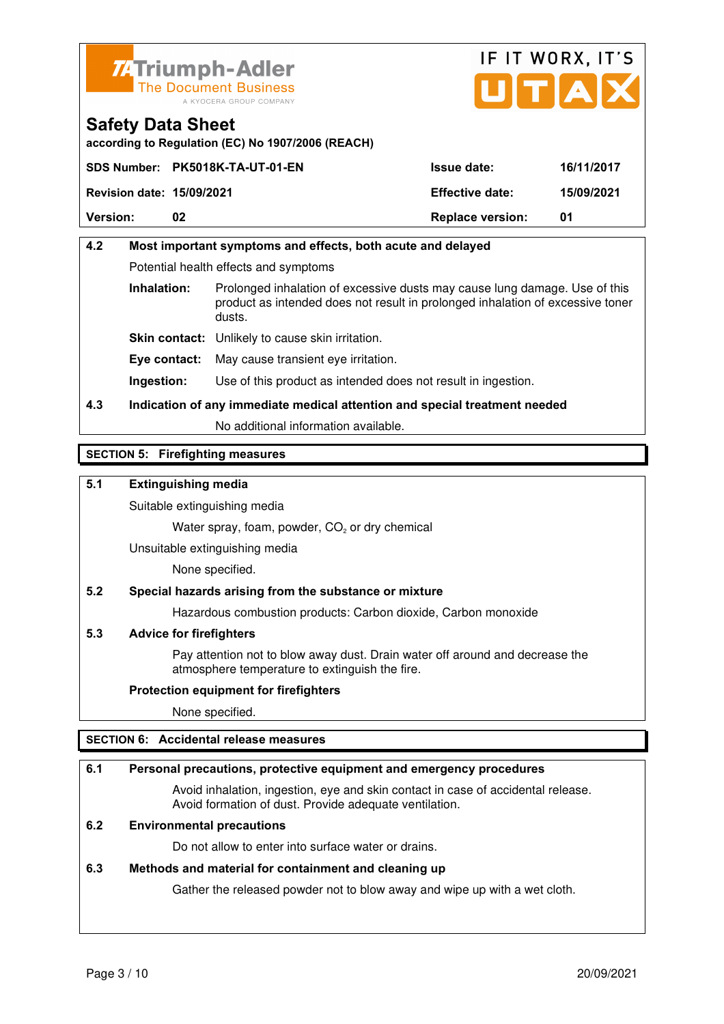



**according to Regulation (EC) No 1907/2006 (REACH)**

|                                  | SDS Number: PK5018K-TA-UT-01-EN | <b>Issue date:</b>      | 16/11/2017 |
|----------------------------------|---------------------------------|-------------------------|------------|
| <b>Revision date: 15/09/2021</b> |                                 | <b>Effective date:</b>  | 15/09/2021 |
| <b>Version:</b>                  | 02                              | <b>Replace version:</b> | 01         |

# **4.2 Most important symptoms and effects, both acute and delayed**  Potential health effects and symptoms **Inhalation:** Prolonged inhalation of excessive dusts may cause lung damage. Use of this product as intended does not result in prolonged inhalation of excessive toner dusts. **Skin contact:** Unlikely to cause skin irritation. **Eye contact:** May cause transient eye irritation.

**Ingestion:** Use of this product as intended does not result in ingestion.

# **4.3 Indication of any immediate medical attention and special treatment needed**

No additional information available.

# **SECTION 5: Firefighting measures**

# **5.1 Extinguishing media**

Suitable extinguishing media

Water spray, foam, powder,  $CO<sub>2</sub>$  or dry chemical

Unsuitable extinguishing media

None specified.

## **5.2 Special hazards arising from the substance or mixture**

Hazardous combustion products: Carbon dioxide, Carbon monoxide

## **5.3 Advice for firefighters**

 Pay attention not to blow away dust. Drain water off around and decrease the atmosphere temperature to extinguish the fire.

## **Protection equipment for firefighters**

None specified.

## **SECTION 6: Accidental release measures**

### **6.1 Personal precautions, protective equipment and emergency procedures**

 Avoid inhalation, ingestion, eye and skin contact in case of accidental release. Avoid formation of dust. Provide adequate ventilation.

## **6.2 Environmental precautions**

Do not allow to enter into surface water or drains.

### **6.3 Methods and material for containment and cleaning up**

Gather the released powder not to blow away and wipe up with a wet cloth.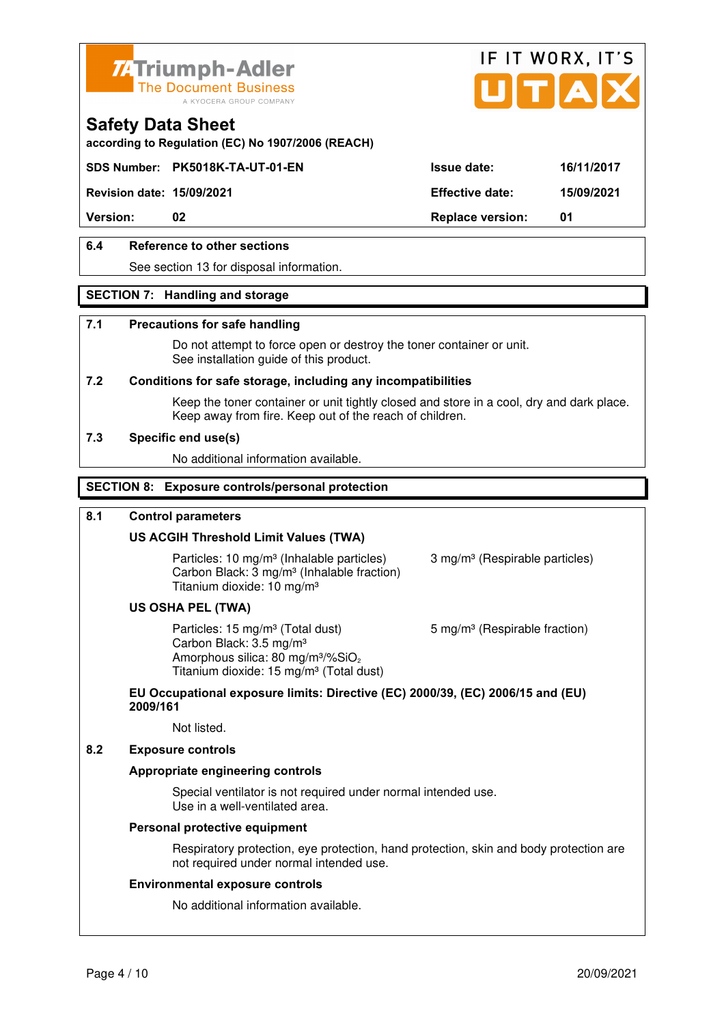



**according to Regulation (EC) No 1907/2006 (REACH)**

# **SDS Number: PK5018K-TA-UT-01-EN Issue date: 16/11/2017**

**Revision date: 15/09/2021 Effective date: 15/09/2021** 

**Version:** 02 **Replace version:** 01

# **6.4 Reference to other sections**

See section 13 for disposal information.

## **SECTION 7: Handling and storage**

### **7.1 Precautions for safe handling**

 Do not attempt to force open or destroy the toner container or unit. See installation guide of this product.

### **7.2 Conditions for safe storage, including any incompatibilities**

Keep the toner container or unit tightly closed and store in a cool, dry and dark place. Keep away from fire. Keep out of the reach of children.

### **7.3 Specific end use(s)**

No additional information available.

### **SECTION 8: Exposure controls/personal protection**

### **8.1 Control parameters**

## **US ACGIH Threshold Limit Values (TWA)**

Particles: 10 mg/m<sup>3</sup> (Inhalable particles) 3 mg/m<sup>3</sup> (Respirable particles) Carbon Black: 3 mg/m³ (Inhalable fraction) Titanium dioxide: 10 mg/m³

### **US OSHA PEL (TWA)**

Particles: 15 mg/m<sup>3</sup> (Total dust) 5 mg/m<sup>3</sup> (Respirable fraction) Carbon Black: 3.5 mg/m³ Amorphous silica: 80 mg/m<sup>3</sup>/%SiO<sub>2</sub> Titanium dioxide: 15 mg/m³ (Total dust)

## **EU Occupational exposure limits: Directive (EC) 2000/39, (EC) 2006/15 and (EU) 2009/161**

Not listed.

### **8.2 Exposure controls**

### **Appropriate engineering controls**

 Special ventilator is not required under normal intended use. Use in a well-ventilated area.

### **Personal protective equipment**

 Respiratory protection, eye protection, hand protection, skin and body protection are not required under normal intended use.

### **Environmental exposure controls**

No additional information available.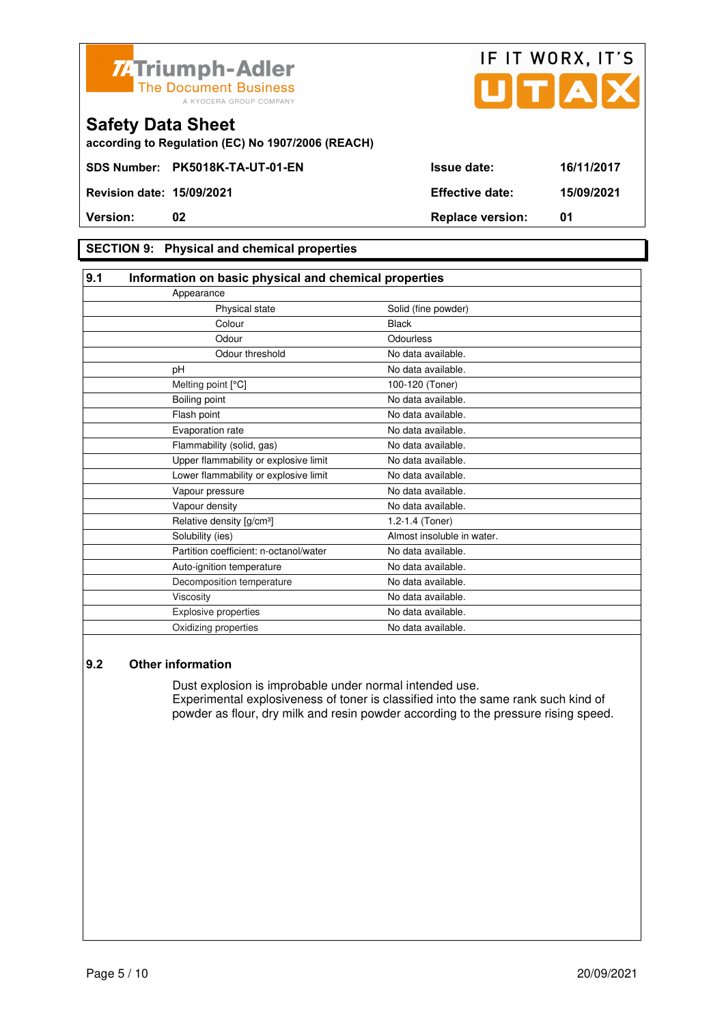



**according to Regulation (EC) No 1907/2006 (REACH)**

# **SECTION 9: Physical and chemical properties**

| 9.1<br>Information on basic physical and chemical properties |                            |
|--------------------------------------------------------------|----------------------------|
| Appearance                                                   |                            |
| Physical state                                               | Solid (fine powder)        |
| Colour                                                       | <b>Black</b>               |
| Odour                                                        | Odourless                  |
| Odour threshold                                              | No data available.         |
| pH                                                           | No data available.         |
| Melting point [°C]                                           | 100-120 (Toner)            |
| Boiling point                                                | No data available.         |
| Flash point                                                  | No data available.         |
| Evaporation rate                                             | No data available.         |
| Flammability (solid, gas)                                    | No data available.         |
| Upper flammability or explosive limit                        | No data available.         |
| Lower flammability or explosive limit                        | No data available.         |
| Vapour pressure                                              | No data available.         |
| Vapour density                                               | No data available.         |
| Relative density [g/cm <sup>3</sup> ]                        | 1.2-1.4 (Toner)            |
| Solubility (ies)                                             | Almost insoluble in water. |
| Partition coefficient: n-octanol/water                       | No data available.         |
| Auto-ignition temperature                                    | No data available.         |
| Decomposition temperature                                    | No data available.         |
| Viscosity                                                    | No data available.         |
| <b>Explosive properties</b>                                  | No data available.         |
| Oxidizing properties                                         | No data available.         |

# **9.2 Other information**

 Dust explosion is improbable under normal intended use. Experimental explosiveness of toner is classified into the same rank such kind of powder as flour, dry milk and resin powder according to the pressure rising speed.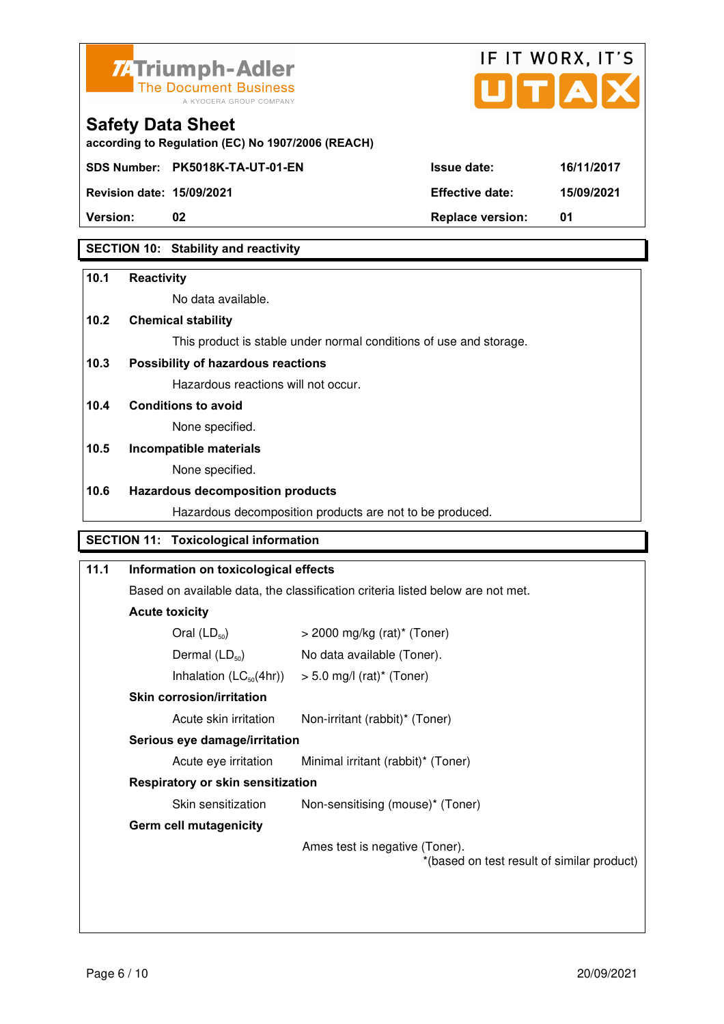



**Version: 02 Replace version: 01** 

# **SECTION 10: Stability and reactivity**

### **10.1 Reactivity**

No data available.

# **10.2 Chemical stability**

This product is stable under normal conditions of use and storage.

# **10.3 Possibility of hazardous reactions**

Hazardous reactions will not occur.

### **10.4 Conditions to avoid**

None specified.

### **10.5 Incompatible materials**

None specified.

### **10.6 Hazardous decomposition products**

Hazardous decomposition products are not to be produced.

# **SECTION 11: Toxicological information**

# **11.1 Information on toxicological effects**  Based on available data, the classification criteria listed below are not met. **Acute toxicity**  Oral  $(LD_{50})$   $> 2000$  mg/kg (rat)<sup>\*</sup> (Toner) Dermal  $(LD_{50})$  No data available (Toner). Inhalation  $(LC_{50}(4hr))$  > 5.0 mg/l (rat)\* (Toner)  **Skin corrosion/irritation** Acute skin irritation Non-irritant (rabbit)\* (Toner)  **Serious eye damage/irritation** Acute eye irritation Minimal irritant (rabbit)\* (Toner)  **Respiratory or skin sensitization**  Skin sensitization Mon-sensitising (mouse)\* (Toner)  **Germ cell mutagenicity** Ames test is negative (Toner). \*(based on test result of similar product)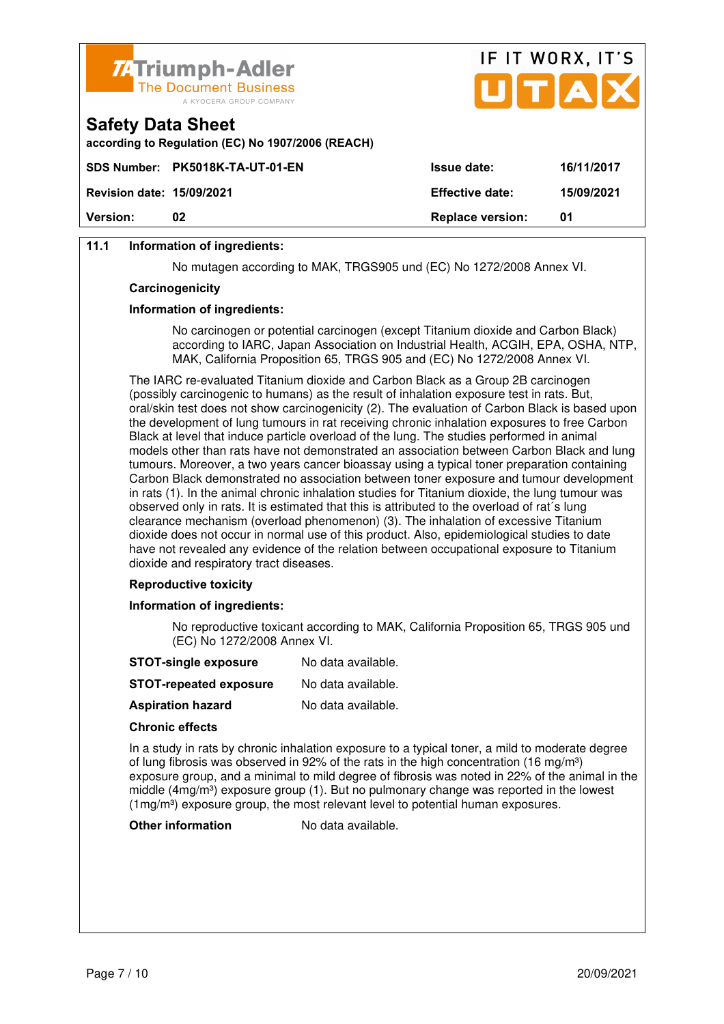

|                                                                               | UTAX                          |
|-------------------------------------------------------------------------------|-------------------------------|
| <b>Safety Data Sheet</b><br>according to Regulation (EC) No 1907/2006 (REACH) |                               |
| SDS Number: PK5018K-TA-UT-01-EN<br><b>Issue date:</b>                         | 16/11/2017                    |
| <b>Effective date:</b><br><b>Revision date: 15/09/2021</b>                    | 15/09/2021                    |
| Version:<br>02                                                                | <b>Replace version:</b><br>01 |

IF IT WORY IT'S

# **11.1 Information of ingredients:**

No mutagen according to MAK, TRGS905 und (EC) No 1272/2008 Annex VI.

#### **Carcinogenicity**

#### **Information of ingredients:**

 No carcinogen or potential carcinogen (except Titanium dioxide and Carbon Black) according to IARC, Japan Association on Industrial Health, ACGIH, EPA, OSHA, NTP, MAK, California Proposition 65, TRGS 905 and (EC) No 1272/2008 Annex VI.

 The IARC re-evaluated Titanium dioxide and Carbon Black as a Group 2B carcinogen (possibly carcinogenic to humans) as the result of inhalation exposure test in rats. But, oral/skin test does not show carcinogenicity (2). The evaluation of Carbon Black is based upon the development of lung tumours in rat receiving chronic inhalation exposures to free Carbon Black at level that induce particle overload of the lung. The studies performed in animal models other than rats have not demonstrated an association between Carbon Black and lung tumours. Moreover, a two years cancer bioassay using a typical toner preparation containing Carbon Black demonstrated no association between toner exposure and tumour development in rats (1). In the animal chronic inhalation studies for Titanium dioxide, the lung tumour was observed only in rats. It is estimated that this is attributed to the overload of rat´s lung clearance mechanism (overload phenomenon) (3). The inhalation of excessive Titanium dioxide does not occur in normal use of this product. Also, epidemiological studies to date have not revealed any evidence of the relation between occupational exposure to Titanium dioxide and respiratory tract diseases.

### **Reproductive toxicity**

#### **Information of ingredients:**

 No reproductive toxicant according to MAK, California Proposition 65, TRGS 905 und (EC) No 1272/2008 Annex VI.

| No data available. |
|--------------------|
|                    |

**Aspiration hazard** No data available.

#### **Chronic effects**

 In a study in rats by chronic inhalation exposure to a typical toner, a mild to moderate degree of lung fibrosis was observed in 92% of the rats in the high concentration (16 mg/m<sup>3</sup>) exposure group, and a minimal to mild degree of fibrosis was noted in 22% of the animal in the middle  $(4mg/m<sup>3</sup>)$  exposure group (1). But no pulmonary change was reported in the lowest (1mg/m<sup>3</sup>) exposure group, the most relevant level to potential human exposures.

**Other information** No data available.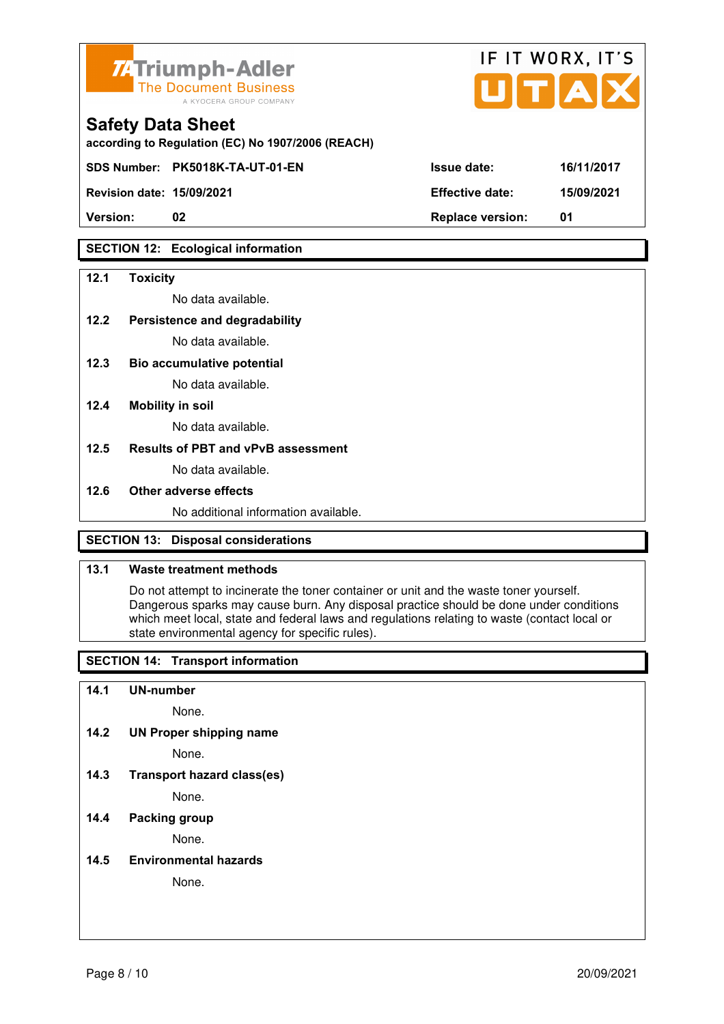

|                        | IF II WUKA, II 5 |
|------------------------|------------------|
|                        |                  |
| <b>Issue date:</b>     | 16/11/2017       |
| <b>Effective date:</b> | 15/09/2021       |
|                        | UTAX             |

 $FIT$   $MOR$ 

 $\mathbf{r}$ 

**Version: 02 Replace version: 01** 

# **SECTION 12: Ecological information**

### **12.1 Toxicity**

No data available.

### **12.2 Persistence and degradability**

No data available.

**12.3 Bio accumulative potential** 

No data available.

### **12.4 Mobility in soil**

No data available.

## **12.5 Results of PBT and vPvB assessment**

No data available.

### **12.6 Other adverse effects**

No additional information available.

# **SECTION 13: Disposal considerations**

# **13.1 Waste treatment methods**

 Do not attempt to incinerate the toner container or unit and the waste toner yourself. Dangerous sparks may cause burn. Any disposal practice should be done under conditions which meet local, state and federal laws and regulations relating to waste (contact local or state environmental agency for specific rules).

# **SECTION 14: Transport information**

### **14.1 UN-number**

None.

**14.2 UN Proper shipping name** 

None.

**14.3 Transport hazard class(es)** 

None.

# **14.4 Packing group**

None.

### **14.5 Environmental hazards**

None.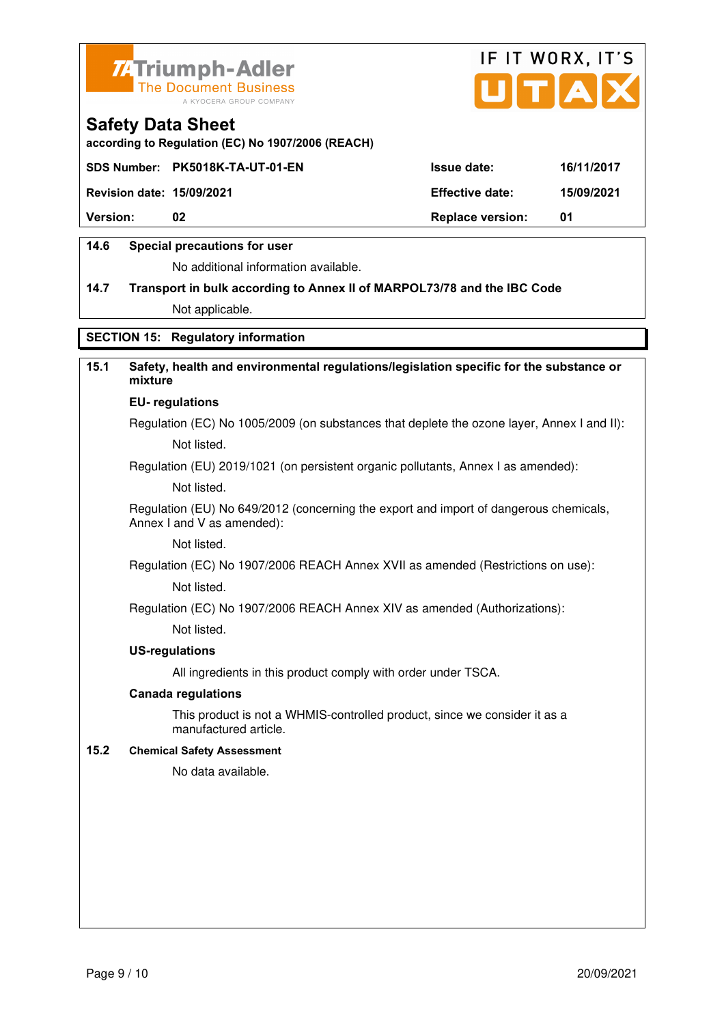



**according to Regulation (EC) No 1907/2006 (REACH)**

|                                  | SDS Number: PK5018K-TA-UT-01-EN | <b>Issue date:</b>      | 16/11/2017 |
|----------------------------------|---------------------------------|-------------------------|------------|
| <b>Revision date: 15/09/2021</b> |                                 | <b>Effective date:</b>  | 15/09/2021 |
| <b>Version:</b>                  | 02                              | <b>Replace version:</b> | 01         |
|                                  |                                 |                         |            |

# **14.6 Special precautions for user**

No additional information available.

# **14.7 Transport in bulk according to Annex II of MARPOL73/78 and the IBC Code** Not applicable.

**SECTION 15: Regulatory information** 

# **15.1 Safety, health and environmental regulations/legislation specific for the substance or mixture**

### **EU- regulations**

Regulation (EC) No 1005/2009 (on substances that deplete the ozone layer, Annex I and II): Not listed.

Regulation (EU) 2019/1021 (on persistent organic pollutants, Annex I as amended):

Not listed.

 Regulation (EU) No 649/2012 (concerning the export and import of dangerous chemicals, Annex I and V as amended):

Not listed.

 Regulation (EC) No 1907/2006 REACH Annex XVII as amended (Restrictions on use): Not listed.

Regulation (EC) No 1907/2006 REACH Annex XIV as amended (Authorizations):

Not listed.

### **US-regulations**

All ingredients in this product comply with order under TSCA.

### **Canada regulations**

 This product is not a WHMIS-controlled product, since we consider it as a manufactured article.

### **15.2 Chemical Safety Assessment**

No data available.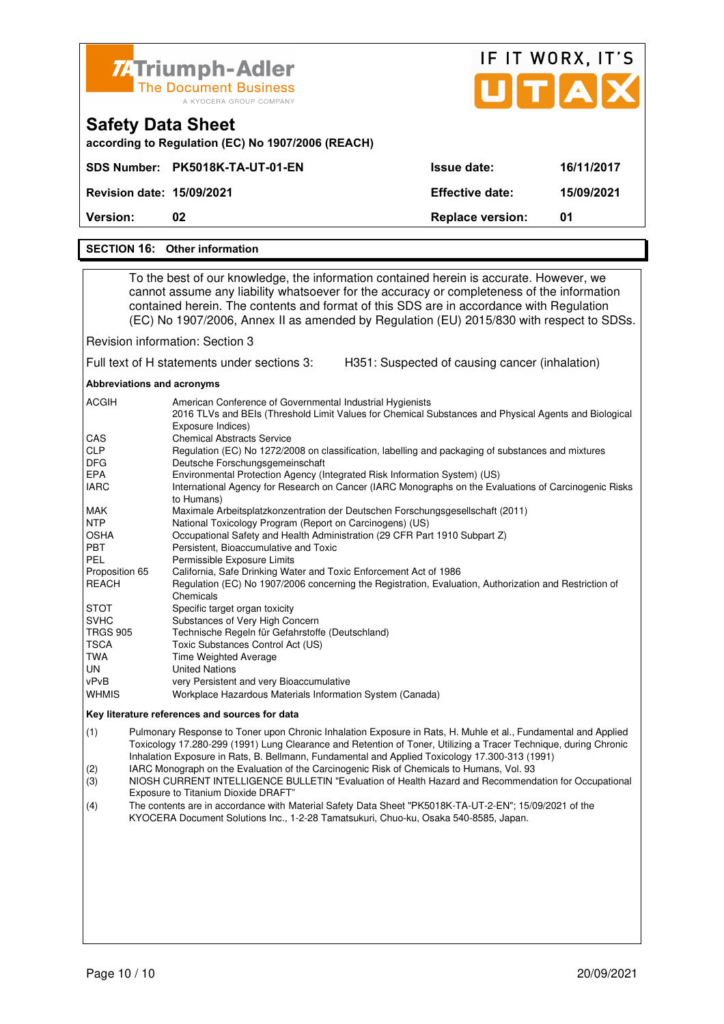| <b>74 Triumph-Adler</b><br><b>The Document Business</b><br>A KYOCERA GROUP COMPANY                                                                                                                                                                                                                                                                                           |                         | IF IT WORX, IT'S<br>U[T A X] |
|------------------------------------------------------------------------------------------------------------------------------------------------------------------------------------------------------------------------------------------------------------------------------------------------------------------------------------------------------------------------------|-------------------------|------------------------------|
| <b>Safety Data Sheet</b><br>according to Regulation (EC) No 1907/2006 (REACH)                                                                                                                                                                                                                                                                                                |                         |                              |
| SDS Number: PK5018K-TA-UT-01-EN                                                                                                                                                                                                                                                                                                                                              | Issue date:             | 16/11/2017                   |
| <b>Revision date: 15/09/2021</b>                                                                                                                                                                                                                                                                                                                                             | <b>Effective date:</b>  | 15/09/2021                   |
| <b>Version:</b><br>02                                                                                                                                                                                                                                                                                                                                                        | <b>Replace version:</b> | 01                           |
| <b>SECTION 16: Other information</b>                                                                                                                                                                                                                                                                                                                                         |                         |                              |
| To the best of our knowledge, the information contained herein is accurate. However, we<br>cannot assume any liability whatsoever for the accuracy or completeness of the information<br>contained herein. The contents and format of this SDS are in accordance with Regulation<br>(EC) No 1907/2006, Annex II as amended by Regulation (EU) 2015/830 with respect to SDSs. |                         |                              |

Revision information: Section 3

Full text of H statements under sections 3: H351: Suspected of causing cancer (inhalation)

**Abbreviations and acronyms** 

| <b>ACGIH</b>    | American Conference of Governmental Industrial Hygienists                                                                  |
|-----------------|----------------------------------------------------------------------------------------------------------------------------|
|                 | 2016 TLVs and BEIs (Threshold Limit Values for Chemical Substances and Physical Agents and Biological<br>Exposure Indices) |
| <b>CAS</b>      | <b>Chemical Abstracts Service</b>                                                                                          |
| <b>CLP</b>      | Regulation (EC) No 1272/2008 on classification, labelling and packaging of substances and mixtures                         |
| <b>DFG</b>      | Deutsche Forschungsgemeinschaft                                                                                            |
| <b>EPA</b>      | Environmental Protection Agency (Integrated Risk Information System) (US)                                                  |
| <b>IARC</b>     | International Agency for Research on Cancer (IARC Monographs on the Evaluations of Carcinogenic Risks<br>to Humans)        |
| <b>MAK</b>      | Maximale Arbeitsplatzkonzentration der Deutschen Forschungsgesellschaft (2011)                                             |
| <b>NTP</b>      | National Toxicology Program (Report on Carcinogens) (US)                                                                   |
| <b>OSHA</b>     | Occupational Safety and Health Administration (29 CFR Part 1910 Subpart Z)                                                 |
| <b>PBT</b>      | Persistent, Bioaccumulative and Toxic                                                                                      |
| <b>PEL</b>      | Permissible Exposure Limits                                                                                                |
| Proposition 65  | California, Safe Drinking Water and Toxic Enforcement Act of 1986                                                          |
| REACH           | Regulation (EC) No 1907/2006 concerning the Registration, Evaluation, Authorization and Restriction of                     |
|                 | Chemicals                                                                                                                  |
| <b>STOT</b>     | Specific target organ toxicity                                                                                             |
| <b>SVHC</b>     | Substances of Very High Concern                                                                                            |
| <b>TRGS 905</b> | Technische Regeln für Gefahrstoffe (Deutschland)                                                                           |
| <b>TSCA</b>     | Toxic Substances Control Act (US)                                                                                          |
| TWA             | <b>Time Weighted Average</b>                                                                                               |
| UN.             | <b>United Nations</b>                                                                                                      |
| vPvB            | very Persistent and very Bioaccumulative                                                                                   |
| <b>WHMIS</b>    | Workplace Hazardous Materials Information System (Canada)                                                                  |

#### **Key literature references and sources for data**

(1) Pulmonary Response to Toner upon Chronic Inhalation Exposure in Rats, H. Muhle et al., Fundamental and Applied Toxicology 17.280-299 (1991) Lung Clearance and Retention of Toner, Utilizing a Tracer Technique, during Chronic Inhalation Exposure in Rats, B. Bellmann, Fundamental and Applied Toxicology 17.300-313 (1991)

(2) IARC Monograph on the Evaluation of the Carcinogenic Risk of Chemicals to Humans, Vol. 93<br>(3) NIOSH CURRENT INTELLIGENCE BULLETIN "Evaluation of Health Hazard and Recommend

NIOSH CURRENT INTELLIGENCE BULLETIN "Evaluation of Health Hazard and Recommendation for Occupational Exposure to Titanium Dioxide DRAFT"

(4) The contents are in accordance with Material Safety Data Sheet "PK5018K-TA-UT-2-EN"; 15/09/2021 of the KYOCERA Document Solutions Inc., 1-2-28 Tamatsukuri, Chuo-ku, Osaka 540-8585, Japan.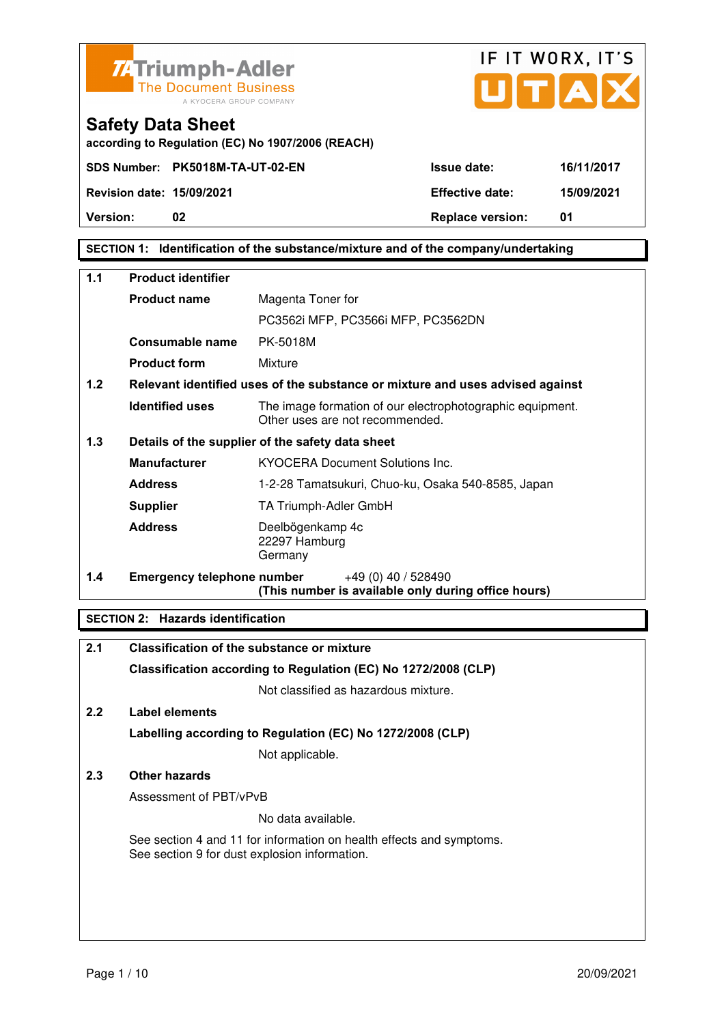



**according to Regulation (EC) No 1907/2006 (REACH)**

**Version:** 02 **Replace version:** 01

**SECTION 1: Identification of the substance/mixture and of the company/undertaking** 

| $1.1$ | <b>Product identifier</b>         |                                                                                              |  |
|-------|-----------------------------------|----------------------------------------------------------------------------------------------|--|
|       | <b>Product name</b>               | Magenta Toner for                                                                            |  |
|       |                                   | PC3562i MFP, PC3566i MFP, PC3562DN                                                           |  |
|       | Consumable name                   | PK-5018M                                                                                     |  |
|       | <b>Product form</b>               | Mixture                                                                                      |  |
| 1.2   |                                   | Relevant identified uses of the substance or mixture and uses advised against                |  |
|       | <b>Identified uses</b>            | The image formation of our electrophotographic equipment.<br>Other uses are not recommended. |  |
| 1.3   |                                   | Details of the supplier of the safety data sheet                                             |  |
|       | <b>Manufacturer</b>               | <b>KYOCERA Document Solutions Inc.</b>                                                       |  |
|       | <b>Address</b>                    | 1-2-28 Tamatsukuri, Chuo-ku, Osaka 540-8585, Japan                                           |  |
|       | <b>Supplier</b>                   | TA Triumph-Adler GmbH                                                                        |  |
|       | <b>Address</b>                    | Deelbögenkamp 4c<br>22297 Hamburg<br>Germany                                                 |  |
| 1.4   | <b>Emergency telephone number</b> | +49 (0) 40 / 528490<br>(This number is available only during office hours)                   |  |

# **SECTION 2: Hazards identification**

| 2.1 | Classification of the substance or mixture                                                                            |
|-----|-----------------------------------------------------------------------------------------------------------------------|
|     | Classification according to Regulation (EC) No 1272/2008 (CLP)                                                        |
|     | Not classified as hazardous mixture.                                                                                  |
| 2.2 | Label elements                                                                                                        |
|     | Labelling according to Regulation (EC) No 1272/2008 (CLP)                                                             |
|     | Not applicable.                                                                                                       |
| 2.3 | Other hazards                                                                                                         |
|     | Assessment of PBT/vPvB                                                                                                |
|     | No data available.                                                                                                    |
|     | See section 4 and 11 for information on health effects and symptoms.<br>See section 9 for dust explosion information. |
|     |                                                                                                                       |
|     |                                                                                                                       |
|     |                                                                                                                       |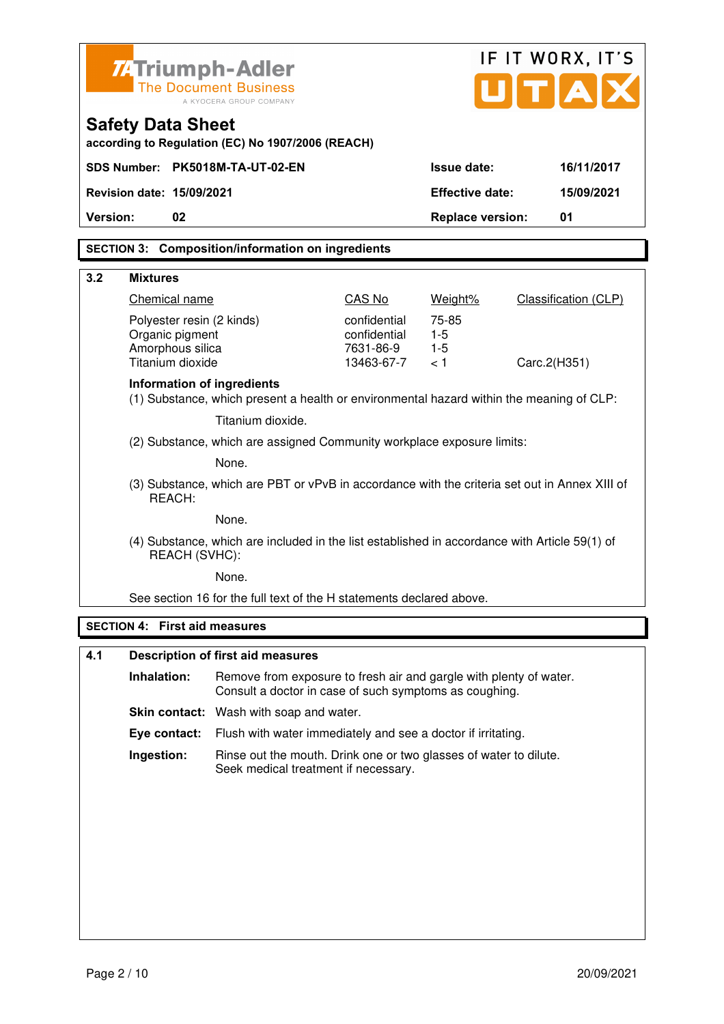|          | <b>ZATriumph-Adler</b>               |                                                                                                                              |                              |                         | IF IT WORX, IT'S            |
|----------|--------------------------------------|------------------------------------------------------------------------------------------------------------------------------|------------------------------|-------------------------|-----------------------------|
|          |                                      | <b>The Document Business</b>                                                                                                 |                              |                         | UTA                         |
|          |                                      | A KYOCERA GROUP COMPANY                                                                                                      |                              |                         |                             |
|          | <b>Safety Data Sheet</b>             | according to Regulation (EC) No 1907/2006 (REACH)                                                                            |                              |                         |                             |
|          |                                      | SDS Number: PK5018M-TA-UT-02-EN                                                                                              |                              | <b>Issue date:</b>      | 16/11/2017                  |
|          | <b>Revision date: 15/09/2021</b>     |                                                                                                                              |                              | <b>Effective date:</b>  | 15/09/2021                  |
| Version: | 02                                   |                                                                                                                              |                              | <b>Replace version:</b> | 01                          |
|          |                                      | <b>SECTION 3: Composition/information on ingredients</b>                                                                     |                              |                         |                             |
| 3.2      | <b>Mixtures</b>                      |                                                                                                                              |                              |                         |                             |
|          | Chemical name                        |                                                                                                                              | CAS No                       | Weight%                 | <b>Classification (CLP)</b> |
|          | Polyester resin (2 kinds)            |                                                                                                                              | confidential<br>confidential | 75-85<br>$1-5$          |                             |
|          | Organic pigment<br>Amorphous silica  |                                                                                                                              | 7631-86-9                    | $1-5$                   |                             |
|          | Titanium dioxide                     |                                                                                                                              | 13463-67-7                   | < 1                     | Carc.2(H351)                |
|          | Information of ingredients           | (1) Substance, which present a health or environmental hazard within the meaning of CLP:                                     |                              |                         |                             |
|          |                                      | Titanium dioxide.                                                                                                            |                              |                         |                             |
|          |                                      | (2) Substance, which are assigned Community workplace exposure limits:                                                       |                              |                         |                             |
|          |                                      | None.                                                                                                                        |                              |                         |                             |
|          | REACH:                               | (3) Substance, which are PBT or vPvB in accordance with the criteria set out in Annex XIII of                                |                              |                         |                             |
|          | None.                                |                                                                                                                              |                              |                         |                             |
|          | REACH (SVHC):                        | (4) Substance, which are included in the list established in accordance with Article 59(1) of                                |                              |                         |                             |
|          |                                      | None.                                                                                                                        |                              |                         |                             |
|          |                                      | See section 16 for the full text of the H statements declared above.                                                         |                              |                         |                             |
|          | <b>SECTION 4: First aid measures</b> |                                                                                                                              |                              |                         |                             |
| 4.1      |                                      | <b>Description of first aid measures</b>                                                                                     |                              |                         |                             |
|          | Inhalation:                          | Remove from exposure to fresh air and gargle with plenty of water.<br>Consult a doctor in case of such symptoms as coughing. |                              |                         |                             |
|          |                                      | <b>Skin contact:</b> Wash with soap and water.                                                                               |                              |                         |                             |
|          | Eye contact:                         | Flush with water immediately and see a doctor if irritating.                                                                 |                              |                         |                             |
|          | Ingestion:                           | Rinse out the mouth. Drink one or two glasses of water to dilute.<br>Seek medical treatment if necessary.                    |                              |                         |                             |
|          |                                      |                                                                                                                              |                              |                         |                             |
|          |                                      |                                                                                                                              |                              |                         |                             |
|          |                                      |                                                                                                                              |                              |                         |                             |
|          |                                      |                                                                                                                              |                              |                         |                             |
|          |                                      |                                                                                                                              |                              |                         |                             |
|          |                                      |                                                                                                                              |                              |                         |                             |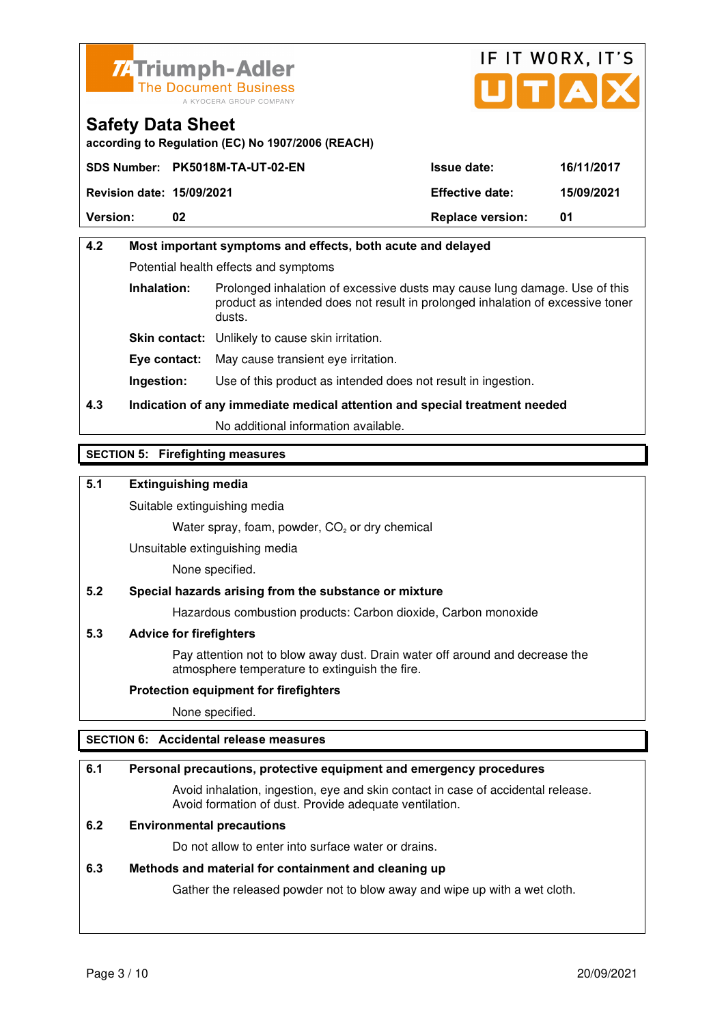



**according to Regulation (EC) No 1907/2006 (REACH)**

|                                  | SDS Number: PK5018M-TA-UT-02-EN | <b>Issue date:</b>      | 16/11/2017 |
|----------------------------------|---------------------------------|-------------------------|------------|
| <b>Revision date: 15/09/2021</b> |                                 | <b>Effective date:</b>  | 15/09/2021 |
| <b>Version:</b>                  | 02                              | <b>Replace version:</b> | 01         |

# **4.2 Most important symptoms and effects, both acute and delayed**  Potential health effects and symptoms **Inhalation:** Prolonged inhalation of excessive dusts may cause lung damage. Use of this product as intended does not result in prolonged inhalation of excessive toner dusts. **Skin contact:** Unlikely to cause skin irritation. **Eye contact:** May cause transient eye irritation.

**Ingestion:** Use of this product as intended does not result in ingestion.

# **4.3 Indication of any immediate medical attention and special treatment needed**

No additional information available.

# **SECTION 5: Firefighting measures**

# **5.1 Extinguishing media**

Suitable extinguishing media

Water spray, foam, powder,  $CO<sub>2</sub>$  or dry chemical

Unsuitable extinguishing media

None specified.

## **5.2 Special hazards arising from the substance or mixture**

Hazardous combustion products: Carbon dioxide, Carbon monoxide

## **5.3 Advice for firefighters**

 Pay attention not to blow away dust. Drain water off around and decrease the atmosphere temperature to extinguish the fire.

## **Protection equipment for firefighters**

None specified.

# **SECTION 6: Accidental release measures**

## **6.1 Personal precautions, protective equipment and emergency procedures**

 Avoid inhalation, ingestion, eye and skin contact in case of accidental release. Avoid formation of dust. Provide adequate ventilation.

## **6.2 Environmental precautions**

Do not allow to enter into surface water or drains.

## **6.3 Methods and material for containment and cleaning up**

Gather the released powder not to blow away and wipe up with a wet cloth.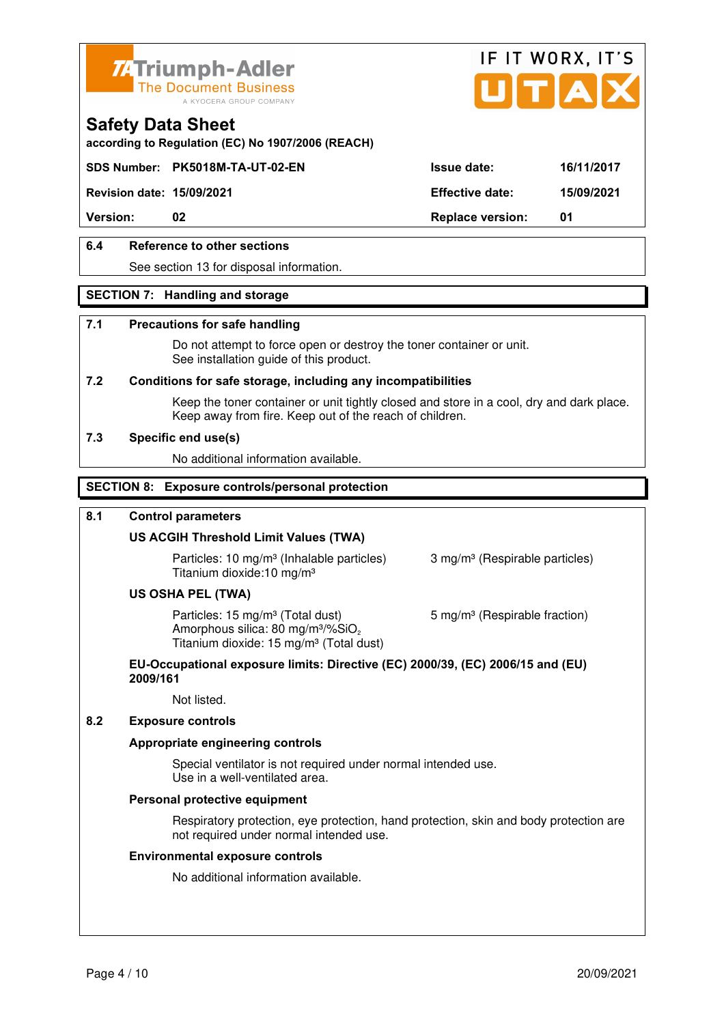



**according to Regulation (EC) No 1907/2006 (REACH)**

# **SDS Number: PK5018M-TA-UT-02-EN Issue date: 16/11/2017**

**Revision date: 15/09/2021 Effective date: 15/09/2021** 

**Version:** 02 **Replace version:** 01

# **6.4 Reference to other sections**

See section 13 for disposal information.

## **SECTION 7: Handling and storage**

### **7.1 Precautions for safe handling**

 Do not attempt to force open or destroy the toner container or unit. See installation guide of this product.

### **7.2 Conditions for safe storage, including any incompatibilities**

Keep the toner container or unit tightly closed and store in a cool, dry and dark place. Keep away from fire. Keep out of the reach of children.

### **7.3 Specific end use(s)**

No additional information available.

## **SECTION 8: Exposure controls/personal protection**

### **8.1 Control parameters**

## **US ACGIH Threshold Limit Values (TWA)**

Particles: 10 mg/m<sup>3</sup> (Inhalable particles) 3 mg/m<sup>3</sup> (Respirable particles) Titanium dioxide:10 mg/m³

### **US OSHA PEL (TWA)**

Particles: 15 mg/m<sup>3</sup> (Total dust) 5 mg/m<sup>3</sup> (Respirable fraction) Amorphous silica:  $80 \text{ mg/m}^3/\% \text{SiO}_2$ Titanium dioxide: 15 mg/m<sup>3</sup> (Total dust)

# **EU-Occupational exposure limits: Directive (EC) 2000/39, (EC) 2006/15 and (EU) 2009/161**

Not listed.

# **8.2 Exposure controls**

## **Appropriate engineering controls**

 Special ventilator is not required under normal intended use. Use in a well-ventilated area.

### **Personal protective equipment**

 Respiratory protection, eye protection, hand protection, skin and body protection are not required under normal intended use.

### **Environmental exposure controls**

No additional information available.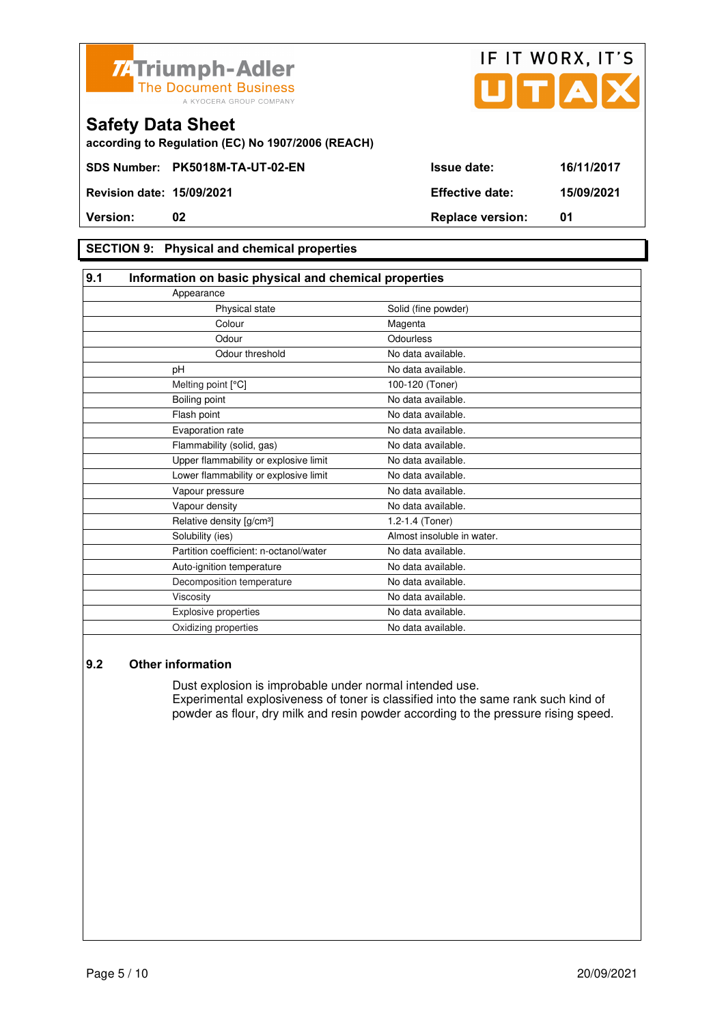



**according to Regulation (EC) No 1907/2006 (REACH)**

# **SECTION 9: Physical and chemical properties**

| 9.1 | Information on basic physical and chemical properties |                            |  |
|-----|-------------------------------------------------------|----------------------------|--|
|     | Appearance                                            |                            |  |
|     | Physical state                                        | Solid (fine powder)        |  |
|     | Colour                                                | Magenta                    |  |
|     | Odour                                                 | Odourless                  |  |
|     | Odour threshold                                       | No data available.         |  |
|     | рH                                                    | No data available.         |  |
|     | Melting point [°C]                                    | 100-120 (Toner)            |  |
|     | Boiling point                                         | No data available.         |  |
|     | Flash point                                           | No data available.         |  |
|     | Evaporation rate                                      | No data available.         |  |
|     | Flammability (solid, gas)                             | No data available.         |  |
|     | Upper flammability or explosive limit                 | No data available.         |  |
|     | Lower flammability or explosive limit                 | No data available.         |  |
|     | Vapour pressure                                       | No data available.         |  |
|     | Vapour density                                        | No data available.         |  |
|     | Relative density [g/cm <sup>3</sup> ]                 | 1.2-1.4 (Toner)            |  |
|     | Solubility (ies)                                      | Almost insoluble in water. |  |
|     | Partition coefficient: n-octanol/water                | No data available.         |  |
|     | Auto-ignition temperature                             | No data available.         |  |
|     | Decomposition temperature                             | No data available.         |  |
|     | Viscosity                                             | No data available.         |  |
|     | Explosive properties                                  | No data available.         |  |
|     | Oxidizing properties                                  | No data available.         |  |

# **9.2 Other information**

 Dust explosion is improbable under normal intended use. Experimental explosiveness of toner is classified into the same rank such kind of powder as flour, dry milk and resin powder according to the pressure rising speed.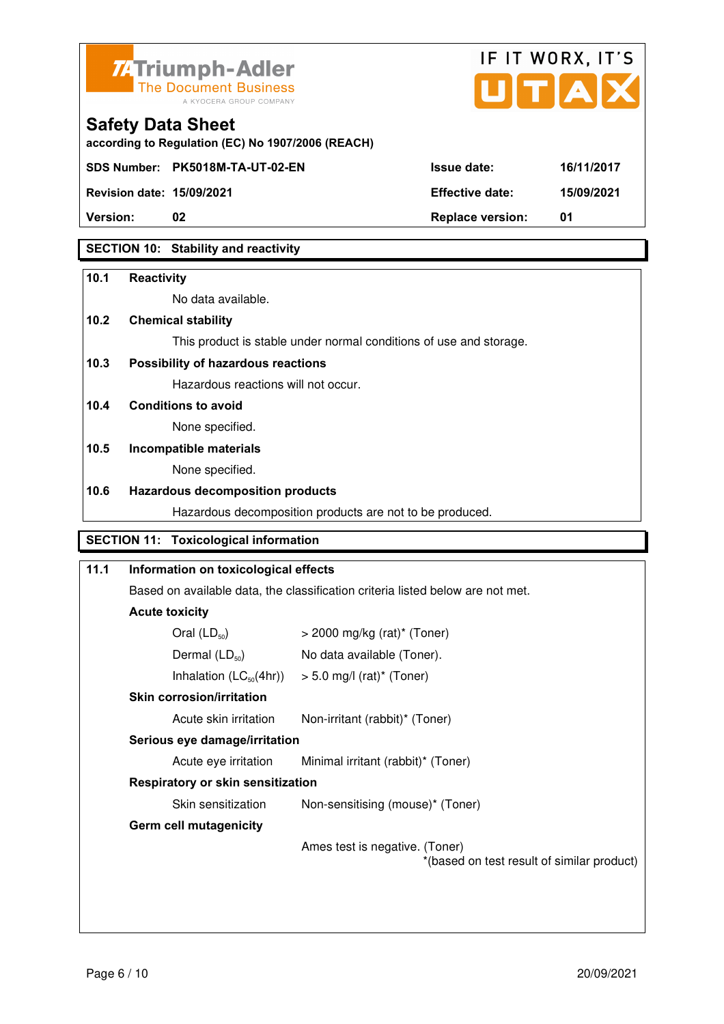



**Version:** 02 **Replace version:** 01

# **SECTION 10: Stability and reactivity**

### **10.1 Reactivity**

No data available.

# **10.2 Chemical stability**

This product is stable under normal conditions of use and storage.

# **10.3 Possibility of hazardous reactions**

Hazardous reactions will not occur.

### **10.4 Conditions to avoid**

None specified.

### **10.5 Incompatible materials**

None specified.

# **10.6 Hazardous decomposition products**

Hazardous decomposition products are not to be produced.

# **SECTION 11: Toxicological information**

| 11.1 | Information on toxicological effects                                                                    |                                                                              |  |
|------|---------------------------------------------------------------------------------------------------------|------------------------------------------------------------------------------|--|
|      | Based on available data, the classification criteria listed below are not met.<br><b>Acute toxicity</b> |                                                                              |  |
|      |                                                                                                         |                                                                              |  |
|      | Oral $(LD_{50})$<br>$>$ 2000 mg/kg (rat)* (Toner)                                                       |                                                                              |  |
|      | Dermal $(LD_{50})$                                                                                      | No data available (Toner).                                                   |  |
|      |                                                                                                         | Inhalation $(LC_{50}(4hr))$ > 5.0 mg/l (rat) <sup>*</sup> (Toner)            |  |
|      | <b>Skin corrosion/irritation</b>                                                                        |                                                                              |  |
|      | Acute skin irritation                                                                                   | Non-irritant (rabbit)* (Toner)                                               |  |
|      | Serious eye damage/irritation                                                                           |                                                                              |  |
|      | Acute eye irritation                                                                                    | Minimal irritant (rabbit)* (Toner)                                           |  |
|      | Respiratory or skin sensitization                                                                       |                                                                              |  |
|      | Skin sensitization                                                                                      | Non-sensitising (mouse)* (Toner)                                             |  |
|      | <b>Germ cell mutagenicity</b>                                                                           |                                                                              |  |
|      |                                                                                                         | Ames test is negative. (Toner)<br>*(based on test result of similar product) |  |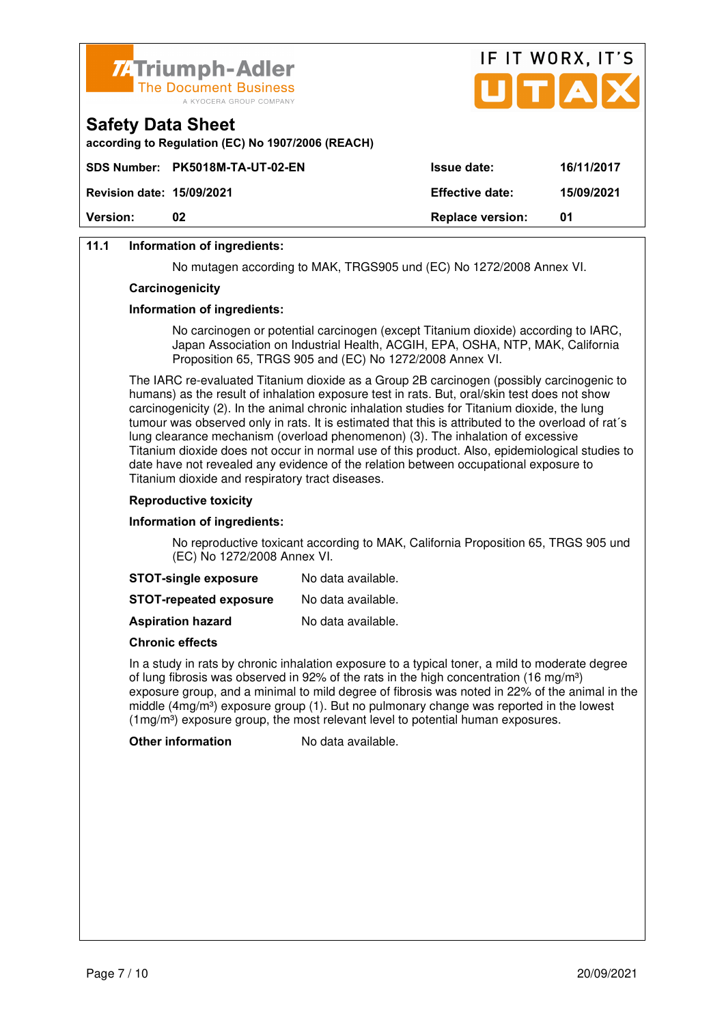



## **11.1 Information of ingredients:**

**Safety Data Sheet** 

No mutagen according to MAK, TRGS905 und (EC) No 1272/2008 Annex VI.

#### **Carcinogenicity**

#### **Information of ingredients:**

 No carcinogen or potential carcinogen (except Titanium dioxide) according to IARC, Japan Association on Industrial Health, ACGIH, EPA, OSHA, NTP, MAK, California Proposition 65, TRGS 905 and (EC) No 1272/2008 Annex VI.

 The IARC re-evaluated Titanium dioxide as a Group 2B carcinogen (possibly carcinogenic to humans) as the result of inhalation exposure test in rats. But, oral/skin test does not show carcinogenicity (2). In the animal chronic inhalation studies for Titanium dioxide, the lung tumour was observed only in rats. It is estimated that this is attributed to the overload of rat´s lung clearance mechanism (overload phenomenon) (3). The inhalation of excessive Titanium dioxide does not occur in normal use of this product. Also, epidemiological studies to date have not revealed any evidence of the relation between occupational exposure to Titanium dioxide and respiratory tract diseases.

#### **Reproductive toxicity**

#### **Information of ingredients:**

 No reproductive toxicant according to MAK, California Proposition 65, TRGS 905 und (EC) No 1272/2008 Annex VI.

| <b>STOT-single exposure</b> | No data available. |
|-----------------------------|--------------------|
|-----------------------------|--------------------|

**STOT-repeated exposure** No data available.

**Aspiration hazard** No data available.

### **Chronic effects**

 In a study in rats by chronic inhalation exposure to a typical toner, a mild to moderate degree of lung fibrosis was observed in 92% of the rats in the high concentration (16 mg/m<sup>3</sup>) exposure group, and a minimal to mild degree of fibrosis was noted in 22% of the animal in the middle  $(4mg/m<sup>3</sup>)$  exposure group (1). But no pulmonary change was reported in the lowest  $(1 \text{ma/m}^3)$  exposure group, the most relevant level to potential human exposures.

**Other information** No data available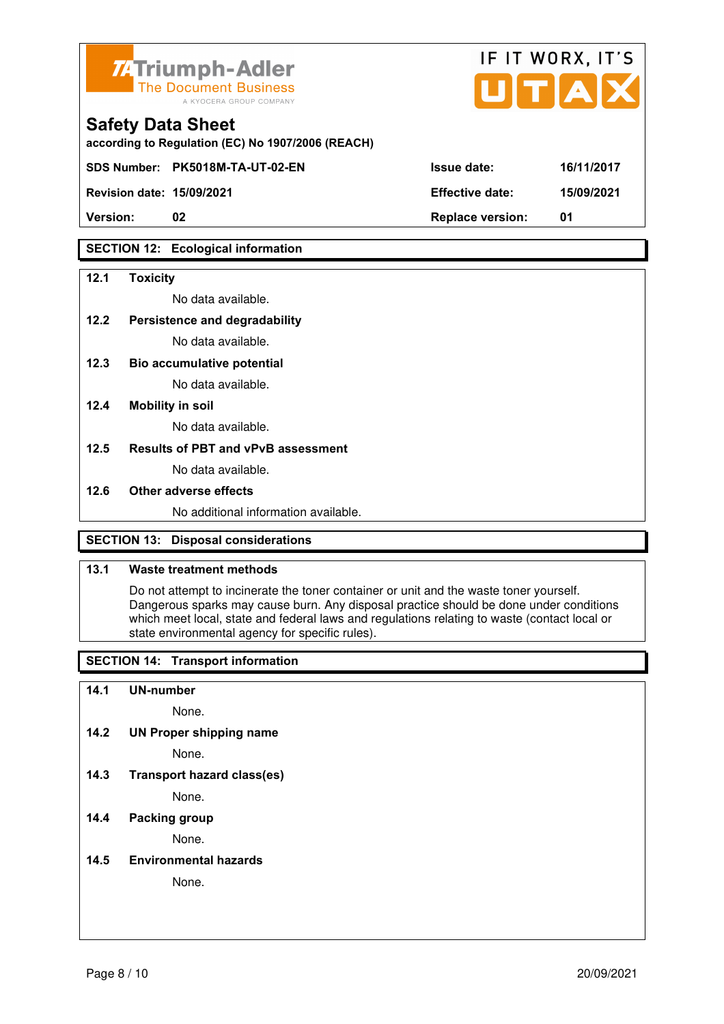

| <b>74 Triumph-Adler</b><br>The Document Business<br>A KYOCERA GROUP COMPANY   |                        | IF II WURA, II J<br>UTAX |
|-------------------------------------------------------------------------------|------------------------|--------------------------|
| <b>Safety Data Sheet</b><br>according to Regulation (EC) No 1907/2006 (REACH) |                        |                          |
| SDS Number: PK5018M-TA-UT-02-EN                                               | <b>Issue date:</b>     | 16/11/2017               |
| <b>Revision date: 15/09/2021</b>                                              | <b>Effective date:</b> | 15/09/2021               |

 $ITIT$  WODY  $IT'C$ 

**SECTION 12: Ecological information** 

#### **12.1 Toxicity**

No data available.

### **12.2 Persistence and degradability**

No data available.

**12.3 Bio accumulative potential** 

No data available.

### **12.4 Mobility in soil**

No data available.

### **12.5 Results of PBT and vPvB assessment**

No data available.

# **12.6 Other adverse effects**

No additional information available.

**Version: 02 Replace version: 01** 

# **SECTION 13: Disposal considerations**

# **13.1 Waste treatment methods**

 Do not attempt to incinerate the toner container or unit and the waste toner yourself. Dangerous sparks may cause burn. Any disposal practice should be done under conditions which meet local, state and federal laws and regulations relating to waste (contact local or state environmental agency for specific rules).

# **SECTION 14: Transport information**

### **14.1 UN-number**

None.

**14.2 UN Proper shipping name** 

None.

**14.3 Transport hazard class(es)** 

None.

# **14.4 Packing group**

None.

### **14.5 Environmental hazards**

None.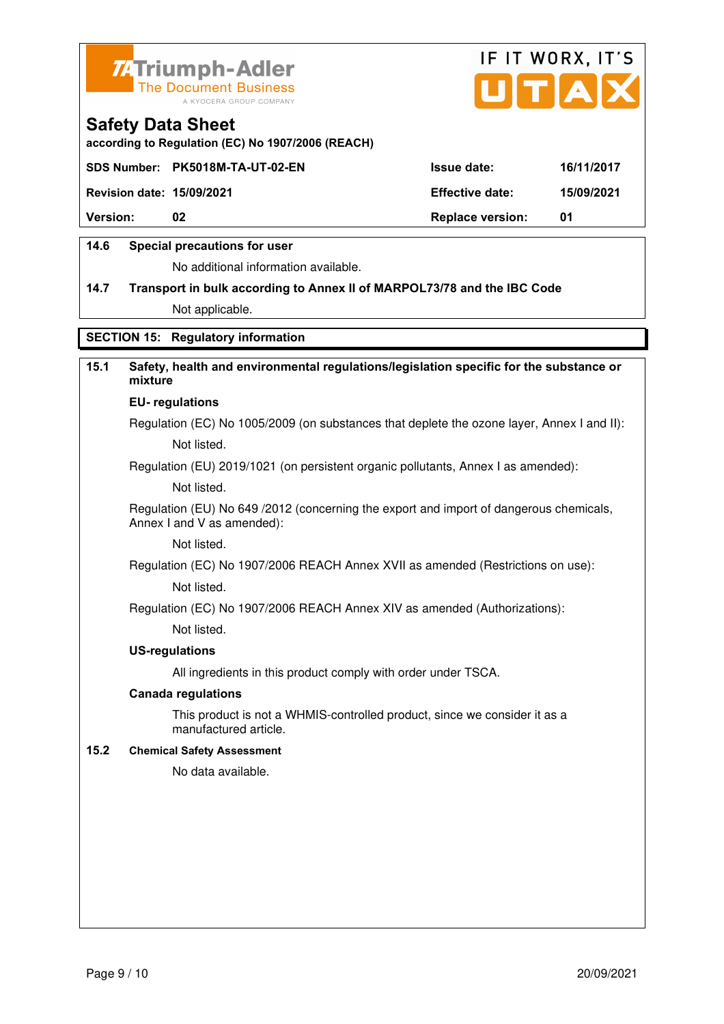



**according to Regulation (EC) No 1907/2006 (REACH)**

|                                  | SDS Number: PK5018M-TA-UT-02-EN | <b>Issue date:</b>      | 16/11/2017 |
|----------------------------------|---------------------------------|-------------------------|------------|
| <b>Revision date: 15/09/2021</b> |                                 | <b>Effective date:</b>  | 15/09/2021 |
| <b>Version:</b>                  | 02                              | <b>Replace version:</b> | 01         |
|                                  |                                 |                         |            |

# **14.6 Special precautions for user**

No additional information available.

# **14.7 Transport in bulk according to Annex II of MARPOL73/78 and the IBC Code** Not applicable.

**SECTION 15: Regulatory information** 

# **15.1 Safety, health and environmental regulations/legislation specific for the substance or mixture**

### **EU- regulations**

Regulation (EC) No 1005/2009 (on substances that deplete the ozone layer, Annex I and II): Not listed.

Regulation (EU) 2019/1021 (on persistent organic pollutants, Annex I as amended):

Not listed.

 Regulation (EU) No 649 /2012 (concerning the export and import of dangerous chemicals, Annex I and V as amended):

Not listed.

 Regulation (EC) No 1907/2006 REACH Annex XVII as amended (Restrictions on use): Not listed.

Regulation (EC) No 1907/2006 REACH Annex XIV as amended (Authorizations):

Not listed.

### **US-regulations**

All ingredients in this product comply with order under TSCA.

### **Canada regulations**

 This product is not a WHMIS-controlled product, since we consider it as a manufactured article.

### **15.2 Chemical Safety Assessment**

No data available.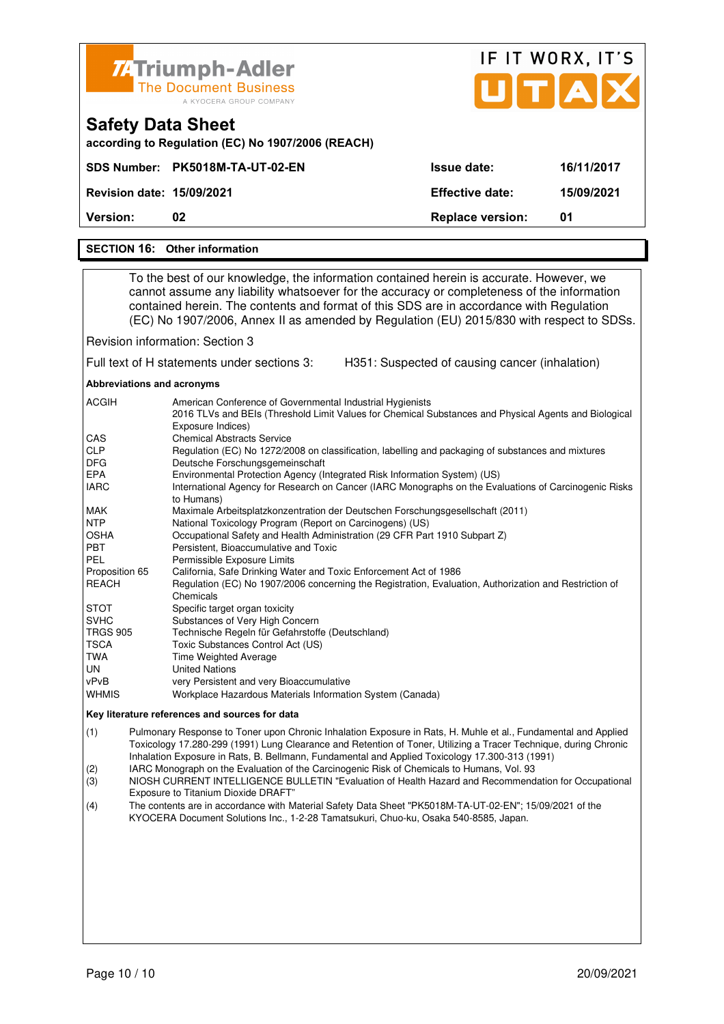|                         | IF IT WORX, IT'S<br>UTAX |
|-------------------------|--------------------------|
|                         |                          |
| Issue date:             | 16/11/2017               |
| <b>Effective date:</b>  | 15/09/2021               |
| <b>Replace version:</b> | 01                       |
|                         |                          |
|                         |                          |

 To the best of our knowledge, the information contained herein is accurate. However, we cannot assume any liability whatsoever for the accuracy or completeness of the information contained herein. The contents and format of this SDS are in accordance with Regulation (EC) No 1907/2006, Annex II as amended by Regulation (EU) 2015/830 with respect to SDSs.

Revision information: Section 3

Full text of H statements under sections 3: H351: Suspected of causing cancer (inhalation)

**Abbreviations and acronyms** 

| <b>ACGIH</b>    | American Conference of Governmental Industrial Hygienists<br>2016 TLVs and BEIs (Threshold Limit Values for Chemical Substances and Physical Agents and Biological |
|-----------------|--------------------------------------------------------------------------------------------------------------------------------------------------------------------|
|                 | Exposure Indices)                                                                                                                                                  |
| <b>CAS</b>      | <b>Chemical Abstracts Service</b>                                                                                                                                  |
| <b>CLP</b>      | Regulation (EC) No 1272/2008 on classification, labelling and packaging of substances and mixtures                                                                 |
| <b>DFG</b>      | Deutsche Forschungsgemeinschaft                                                                                                                                    |
| <b>EPA</b>      | Environmental Protection Agency (Integrated Risk Information System) (US)                                                                                          |
| <b>IARC</b>     | International Agency for Research on Cancer (IARC Monographs on the Evaluations of Carcinogenic Risks                                                              |
|                 | to Humans)                                                                                                                                                         |
| MAK             | Maximale Arbeitsplatzkonzentration der Deutschen Forschungsgesellschaft (2011)                                                                                     |
| <b>NTP</b>      | National Toxicology Program (Report on Carcinogens) (US)                                                                                                           |
| <b>OSHA</b>     | Occupational Safety and Health Administration (29 CFR Part 1910 Subpart Z)                                                                                         |
| <b>PBT</b>      | Persistent, Bioaccumulative and Toxic                                                                                                                              |
| <b>PEL</b>      | Permissible Exposure Limits                                                                                                                                        |
| Proposition 65  | California, Safe Drinking Water and Toxic Enforcement Act of 1986                                                                                                  |
| <b>REACH</b>    | Regulation (EC) No 1907/2006 concerning the Registration, Evaluation, Authorization and Restriction of                                                             |
|                 | Chemicals                                                                                                                                                          |
| <b>STOT</b>     | Specific target organ toxicity                                                                                                                                     |
| <b>SVHC</b>     | Substances of Very High Concern                                                                                                                                    |
| <b>TRGS 905</b> | Technische Regeln für Gefahrstoffe (Deutschland)                                                                                                                   |
| <b>TSCA</b>     | Toxic Substances Control Act (US)                                                                                                                                  |
| TWA             | <b>Time Weighted Average</b>                                                                                                                                       |
| UN.             | <b>United Nations</b>                                                                                                                                              |
| vPvB            | very Persistent and very Bioaccumulative                                                                                                                           |
| <b>WHMIS</b>    | Workplace Hazardous Materials Information System (Canada)                                                                                                          |

#### **Key literature references and sources for data**

(1) Pulmonary Response to Toner upon Chronic Inhalation Exposure in Rats, H. Muhle et al., Fundamental and Applied Toxicology 17.280-299 (1991) Lung Clearance and Retention of Toner, Utilizing a Tracer Technique, during Chronic Inhalation Exposure in Rats, B. Bellmann, Fundamental and Applied Toxicology 17.300-313 (1991)

(2) IARC Monograph on the Evaluation of the Carcinogenic Risk of Chemicals to Humans, Vol. 93

(3) NIOSH CURRENT INTELLIGENCE BULLETIN "Evaluation of Health Hazard and Recommendation for Occupational Exposure to Titanium Dioxide DRAFT"

(4) The contents are in accordance with Material Safety Data Sheet "PK5018M-TA-UT-02-EN"; 15/09/2021 of the KYOCERA Document Solutions Inc., 1-2-28 Tamatsukuri, Chuo-ku, Osaka 540-8585, Japan.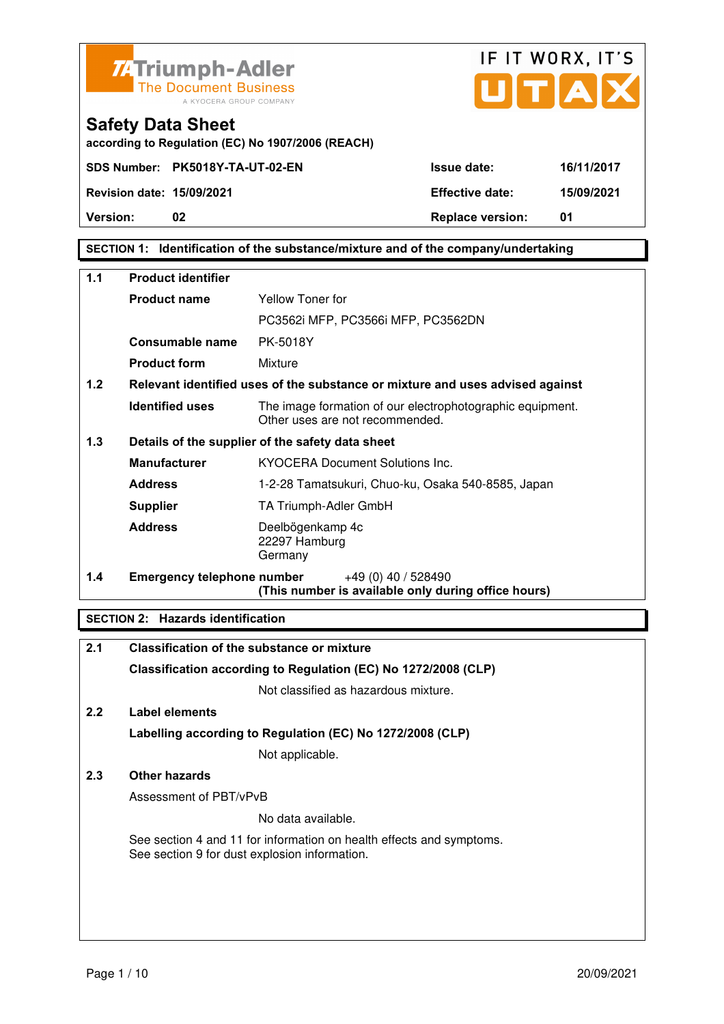



**according to Regulation (EC) No 1907/2006 (REACH)**

**Version:** 02 **Replace version:** 01

# **SECTION 1: Identification of the substance/mixture and of the company/undertaking**

| 1.1 | <b>Product identifier</b>         |                                                                                              |  |
|-----|-----------------------------------|----------------------------------------------------------------------------------------------|--|
|     | <b>Product name</b>               | Yellow Toner for                                                                             |  |
|     |                                   | PC3562i MFP, PC3566i MFP, PC3562DN                                                           |  |
|     | Consumable name                   | PK-5018Y                                                                                     |  |
|     | <b>Product form</b>               | Mixture                                                                                      |  |
| 1.2 |                                   | Relevant identified uses of the substance or mixture and uses advised against                |  |
|     | <b>Identified uses</b>            | The image formation of our electrophotographic equipment.<br>Other uses are not recommended. |  |
| 1.3 |                                   | Details of the supplier of the safety data sheet                                             |  |
|     | <b>Manufacturer</b>               | <b>KYOCERA Document Solutions Inc.</b>                                                       |  |
|     | <b>Address</b>                    | 1-2-28 Tamatsukuri, Chuo-ku, Osaka 540-8585, Japan                                           |  |
|     | <b>Supplier</b>                   | TA Triumph-Adler GmbH                                                                        |  |
|     | <b>Address</b>                    | Deelbögenkamp 4c<br>22297 Hamburg<br>Germany                                                 |  |
| 1.4 | <b>Emergency telephone number</b> | $+49(0)$ 40 / 528490<br>(This number is available only during office hours)                  |  |

# **SECTION 2: Hazards identification**

| 2.1 | Classification of the substance or mixture                                                                            |
|-----|-----------------------------------------------------------------------------------------------------------------------|
|     | Classification according to Regulation (EC) No 1272/2008 (CLP)                                                        |
|     | Not classified as hazardous mixture.                                                                                  |
| 2.2 | Label elements                                                                                                        |
|     | Labelling according to Regulation (EC) No 1272/2008 (CLP)                                                             |
|     | Not applicable.                                                                                                       |
| 2.3 | <b>Other hazards</b>                                                                                                  |
|     | Assessment of PBT/vPvB                                                                                                |
|     | No data available.                                                                                                    |
|     | See section 4 and 11 for information on health effects and symptoms.<br>See section 9 for dust explosion information. |
|     |                                                                                                                       |
|     |                                                                                                                       |
|     |                                                                                                                       |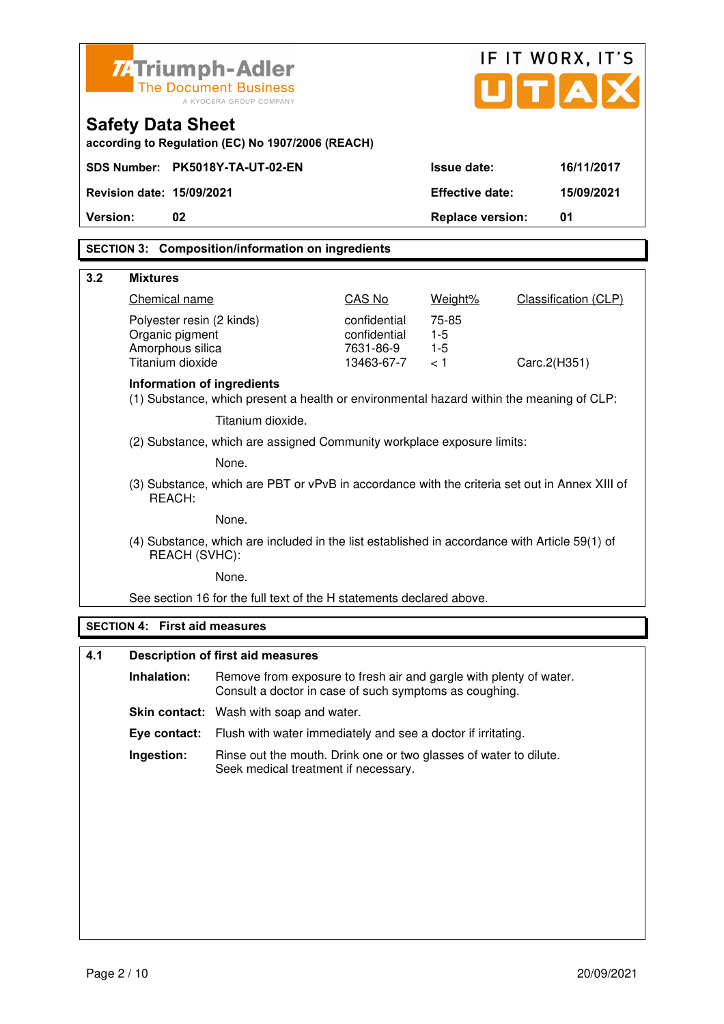| IF IT WORX, IT'S<br><b>ZATriumph-Adler</b>              |                                              |                                                                                                                              |                              |                         |              |                             |
|---------------------------------------------------------|----------------------------------------------|------------------------------------------------------------------------------------------------------------------------------|------------------------------|-------------------------|--------------|-----------------------------|
| <b>The Document Business</b><br>A KYOCERA GROUP COMPANY |                                              |                                                                                                                              | UTA                          |                         |              |                             |
|                                                         | <b>Safety Data Sheet</b>                     |                                                                                                                              |                              |                         |              |                             |
|                                                         |                                              | according to Regulation (EC) No 1907/2006 (REACH)                                                                            |                              |                         |              |                             |
|                                                         |                                              | SDS Number: PK5018Y-TA-UT-02-EN                                                                                              |                              | <b>Issue date:</b>      |              | 16/11/2017                  |
|                                                         | <b>Revision date: 15/09/2021</b>             |                                                                                                                              |                              | <b>Effective date:</b>  |              | 15/09/2021                  |
| Version:                                                | 02                                           |                                                                                                                              |                              | <b>Replace version:</b> |              | 01                          |
|                                                         |                                              | <b>SECTION 3: Composition/information on ingredients</b>                                                                     |                              |                         |              |                             |
| 3.2                                                     | <b>Mixtures</b>                              |                                                                                                                              |                              |                         |              |                             |
|                                                         | Chemical name                                |                                                                                                                              | CAS No                       | Weight%                 |              | <b>Classification (CLP)</b> |
|                                                         | Polyester resin (2 kinds)<br>Organic pigment |                                                                                                                              | confidential<br>confidential | 75-85<br>$1-5$          |              |                             |
|                                                         | Amorphous silica                             |                                                                                                                              | 7631-86-9                    | $1-5$                   |              |                             |
|                                                         | Titanium dioxide                             |                                                                                                                              | 13463-67-7                   | < 1                     | Carc.2(H351) |                             |
|                                                         | Information of ingredients                   | (1) Substance, which present a health or environmental hazard within the meaning of CLP:                                     |                              |                         |              |                             |
|                                                         |                                              | Titanium dioxide.                                                                                                            |                              |                         |              |                             |
|                                                         |                                              | (2) Substance, which are assigned Community workplace exposure limits:                                                       |                              |                         |              |                             |
|                                                         |                                              | None.                                                                                                                        |                              |                         |              |                             |
|                                                         | REACH:                                       | (3) Substance, which are PBT or vPvB in accordance with the criteria set out in Annex XIII of                                |                              |                         |              |                             |
|                                                         |                                              | None.                                                                                                                        |                              |                         |              |                             |
|                                                         | REACH (SVHC):                                | (4) Substance, which are included in the list established in accordance with Article 59(1) of                                |                              |                         |              |                             |
|                                                         |                                              | None.                                                                                                                        |                              |                         |              |                             |
|                                                         |                                              | See section 16 for the full text of the H statements declared above.                                                         |                              |                         |              |                             |
|                                                         | <b>SECTION 4: First aid measures</b>         |                                                                                                                              |                              |                         |              |                             |
| 4.1                                                     |                                              | <b>Description of first aid measures</b>                                                                                     |                              |                         |              |                             |
|                                                         | Inhalation:                                  | Remove from exposure to fresh air and gargle with plenty of water.<br>Consult a doctor in case of such symptoms as coughing. |                              |                         |              |                             |
|                                                         |                                              | Skin contact: Wash with soap and water.                                                                                      |                              |                         |              |                             |
|                                                         | Eye contact:                                 | Flush with water immediately and see a doctor if irritating.                                                                 |                              |                         |              |                             |
|                                                         | Ingestion:                                   | Rinse out the mouth. Drink one or two glasses of water to dilute.<br>Seek medical treatment if necessary.                    |                              |                         |              |                             |
|                                                         |                                              |                                                                                                                              |                              |                         |              |                             |
|                                                         |                                              |                                                                                                                              |                              |                         |              |                             |
|                                                         |                                              |                                                                                                                              |                              |                         |              |                             |
|                                                         |                                              |                                                                                                                              |                              |                         |              |                             |
|                                                         |                                              |                                                                                                                              |                              |                         |              |                             |
|                                                         |                                              |                                                                                                                              |                              |                         |              |                             |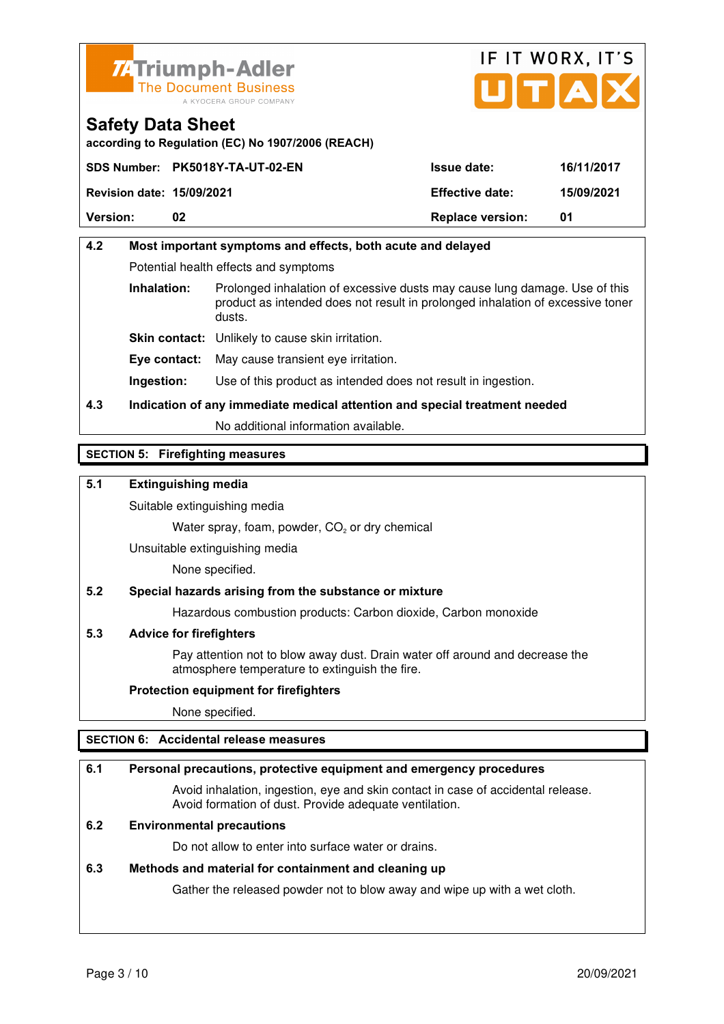



**according to Regulation (EC) No 1907/2006 (REACH)**

|                                  | SDS Number: PK5018Y-TA-UT-02-EN | <b>Issue date:</b>      | 16/11/2017 |
|----------------------------------|---------------------------------|-------------------------|------------|
| <b>Revision date: 15/09/2021</b> |                                 | <b>Effective date:</b>  | 15/09/2021 |
| <b>Version:</b>                  | 02                              | <b>Replace version:</b> | 01         |

# **4.2 Most important symptoms and effects, both acute and delayed**  Potential health effects and symptoms **Inhalation:** Prolonged inhalation of excessive dusts may cause lung damage. Use of this product as intended does not result in prolonged inhalation of excessive toner dusts. **Skin contact:** Unlikely to cause skin irritation. **Eye contact:** May cause transient eye irritation.

**Ingestion:** Use of this product as intended does not result in ingestion.

# **4.3 Indication of any immediate medical attention and special treatment needed**

No additional information available.

# **SECTION 5: Firefighting measures**

# **5.1 Extinguishing media**

Suitable extinguishing media

Water spray, foam, powder,  $CO<sub>2</sub>$  or dry chemical

Unsuitable extinguishing media

None specified.

## **5.2 Special hazards arising from the substance or mixture**

Hazardous combustion products: Carbon dioxide, Carbon monoxide

## **5.3 Advice for firefighters**

 Pay attention not to blow away dust. Drain water off around and decrease the atmosphere temperature to extinguish the fire.

## **Protection equipment for firefighters**

None specified.

# **SECTION 6: Accidental release measures**

## **6.1 Personal precautions, protective equipment and emergency procedures**

 Avoid inhalation, ingestion, eye and skin contact in case of accidental release. Avoid formation of dust. Provide adequate ventilation.

## **6.2 Environmental precautions**

Do not allow to enter into surface water or drains.

## **6.3 Methods and material for containment and cleaning up**

Gather the released powder not to blow away and wipe up with a wet cloth.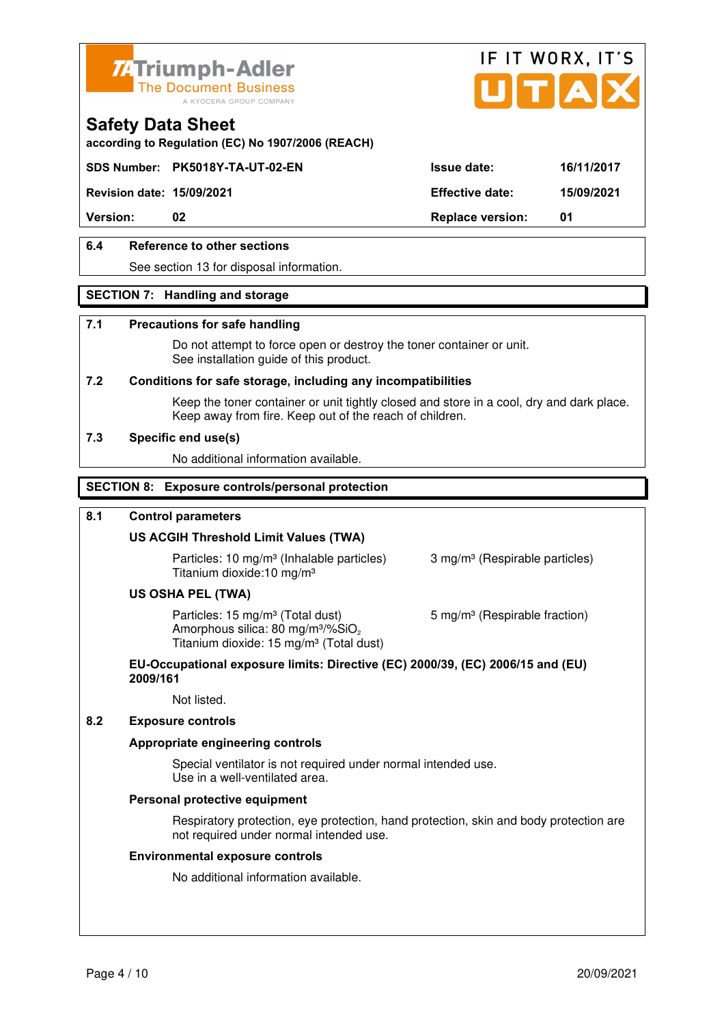



**according to Regulation (EC) No 1907/2006 (REACH)**

# **SDS Number: PK5018Y-TA-UT-02-EN Issue date: 16/11/2017**

**Revision date: 15/09/2021 Effective date: 15/09/2021** 

**Version:** 02 **Replace version:** 01

# **6.4 Reference to other sections**

See section 13 for disposal information.

## **SECTION 7: Handling and storage**

### **7.1 Precautions for safe handling**

 Do not attempt to force open or destroy the toner container or unit. See installation guide of this product.

### **7.2 Conditions for safe storage, including any incompatibilities**

Keep the toner container or unit tightly closed and store in a cool, dry and dark place. Keep away from fire. Keep out of the reach of children.

### **7.3 Specific end use(s)**

No additional information available.

### **SECTION 8: Exposure controls/personal protection**

### **8.1 Control parameters**

## **US ACGIH Threshold Limit Values (TWA)**

Particles: 10 mg/m<sup>3</sup> (Inhalable particles) 3 mg/m<sup>3</sup> (Respirable particles) Titanium dioxide:10 mg/m³

### **US OSHA PEL (TWA)**

Particles: 15 mg/m<sup>3</sup> (Total dust) 5 mg/m<sup>3</sup> (Respirable fraction) Amorphous silica:  $80 \text{ mg/m}^3/\% \text{SiO}_2$ Titanium dioxide: 15 mg/m<sup>3</sup> (Total dust)

# **EU-Occupational exposure limits: Directive (EC) 2000/39, (EC) 2006/15 and (EU) 2009/161**

Not listed.

### **8.2 Exposure controls**

## **Appropriate engineering controls**

 Special ventilator is not required under normal intended use. Use in a well-ventilated area.

### **Personal protective equipment**

 Respiratory protection, eye protection, hand protection, skin and body protection are not required under normal intended use.

### **Environmental exposure controls**

No additional information available.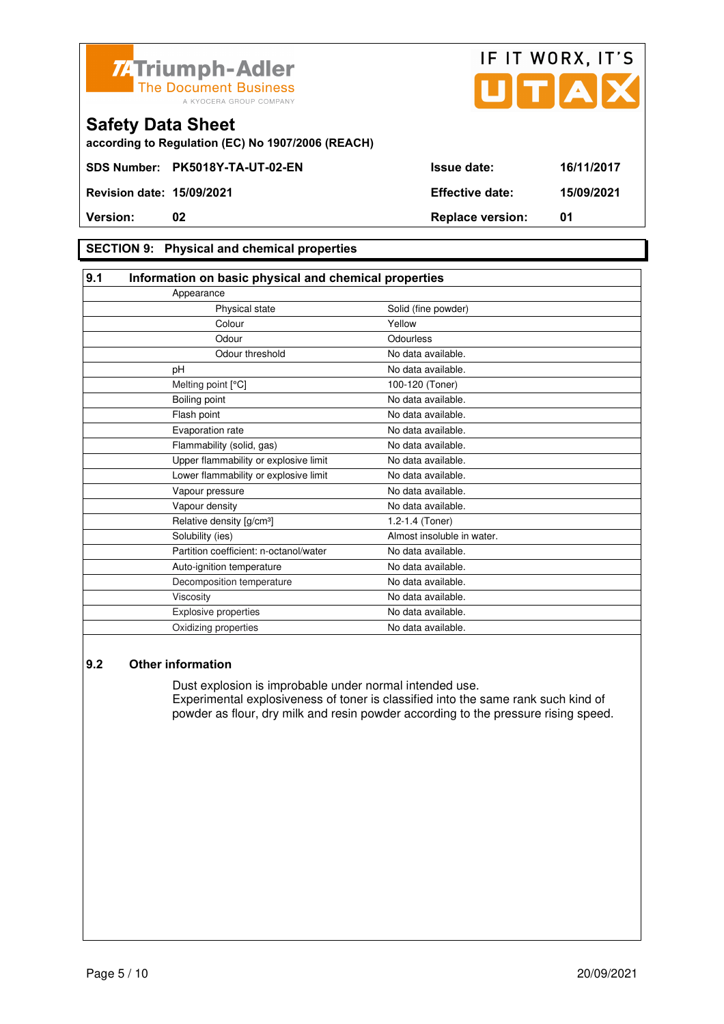



# **SECTION 9: Physical and chemical properties**

**Safety Data Sheet** 

| 9.1<br>Information on basic physical and chemical properties |                            |
|--------------------------------------------------------------|----------------------------|
| Appearance                                                   |                            |
| Physical state                                               | Solid (fine powder)        |
| Colour                                                       | Yellow                     |
| Odour                                                        | Odourless                  |
| Odour threshold                                              | No data available.         |
| pH                                                           | No data available.         |
| Melting point [°C]                                           | 100-120 (Toner)            |
| Boiling point                                                | No data available.         |
| Flash point                                                  | No data available.         |
| Evaporation rate                                             | No data available.         |
| Flammability (solid, gas)                                    | No data available.         |
| Upper flammability or explosive limit                        | No data available.         |
| Lower flammability or explosive limit                        | No data available.         |
| Vapour pressure                                              | No data available.         |
| Vapour density                                               | No data available.         |
| Relative density [g/cm <sup>3</sup> ]                        | 1.2-1.4 (Toner)            |
| Solubility (ies)                                             | Almost insoluble in water. |
| Partition coefficient: n-octanol/water                       | No data available.         |
| Auto-ignition temperature                                    | No data available.         |
| Decomposition temperature                                    | No data available.         |
| Viscosity                                                    | No data available.         |
| Explosive properties                                         | No data available.         |
| Oxidizing properties                                         | No data available.         |

### **9.2 Other information**

 Dust explosion is improbable under normal intended use. Experimental explosiveness of toner is classified into the same rank such kind of powder as flour, dry milk and resin powder according to the pressure rising speed.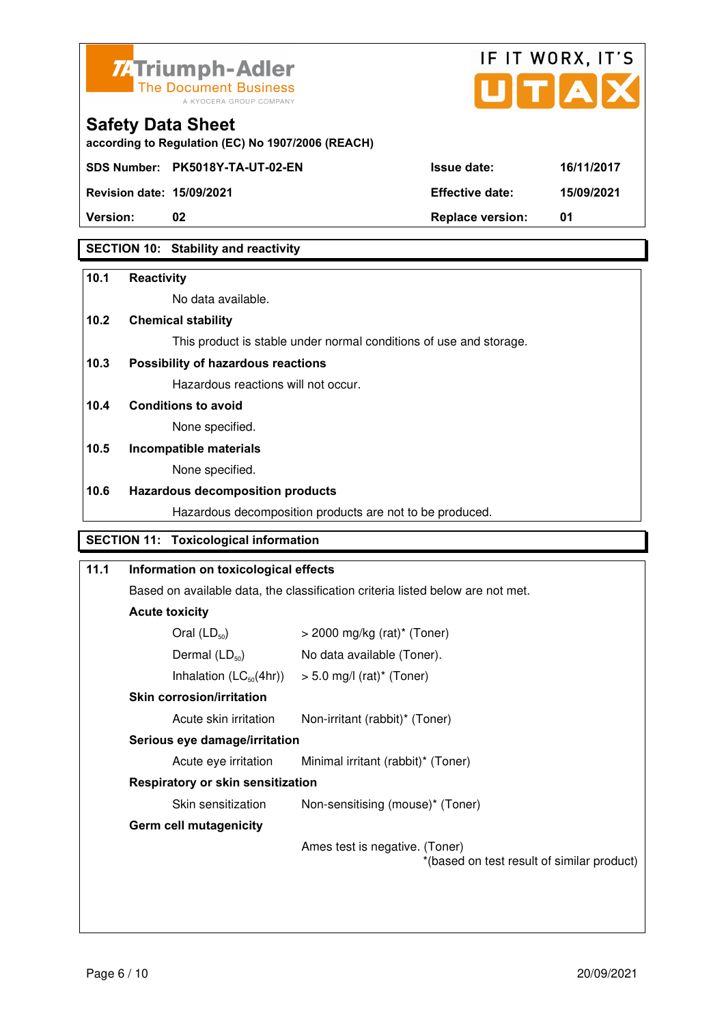



**Version: 02 Replace version: 01** 

# **SECTION 10: Stability and reactivity**

## **10.1 Reactivity**

No data available.

# **10.2 Chemical stability**

This product is stable under normal conditions of use and storage.

# **10.3 Possibility of hazardous reactions**

Hazardous reactions will not occur.

## **10.4 Conditions to avoid**

None specified.

### **10.5 Incompatible materials**

None specified.

## **10.6 Hazardous decomposition products**

Hazardous decomposition products are not to be produced.

# **SECTION 11: Toxicological information**

# **11.1 Information on toxicological effects**  Based on available data, the classification criteria listed below are not met. **Acute toxicity**  Oral  $(LD_{50})$   $> 2000$  mg/kg (rat)<sup>\*</sup> (Toner) Dermal  $(LD_{50})$  No data available (Toner). Inhalation  $(LC_{50}(4hr))$  > 5.0 mg/l (rat)\* (Toner)  **Skin corrosion/irritation** Acute skin irritation Non-irritant (rabbit)\* (Toner)  **Serious eye damage/irritation** Acute eye irritation Minimal irritant (rabbit)\* (Toner)  **Respiratory or skin sensitization**  Skin sensitization Mon-sensitising (mouse)\* (Toner)  **Germ cell mutagenicity** Ames test is negative. (Toner) \*(based on test result of similar product)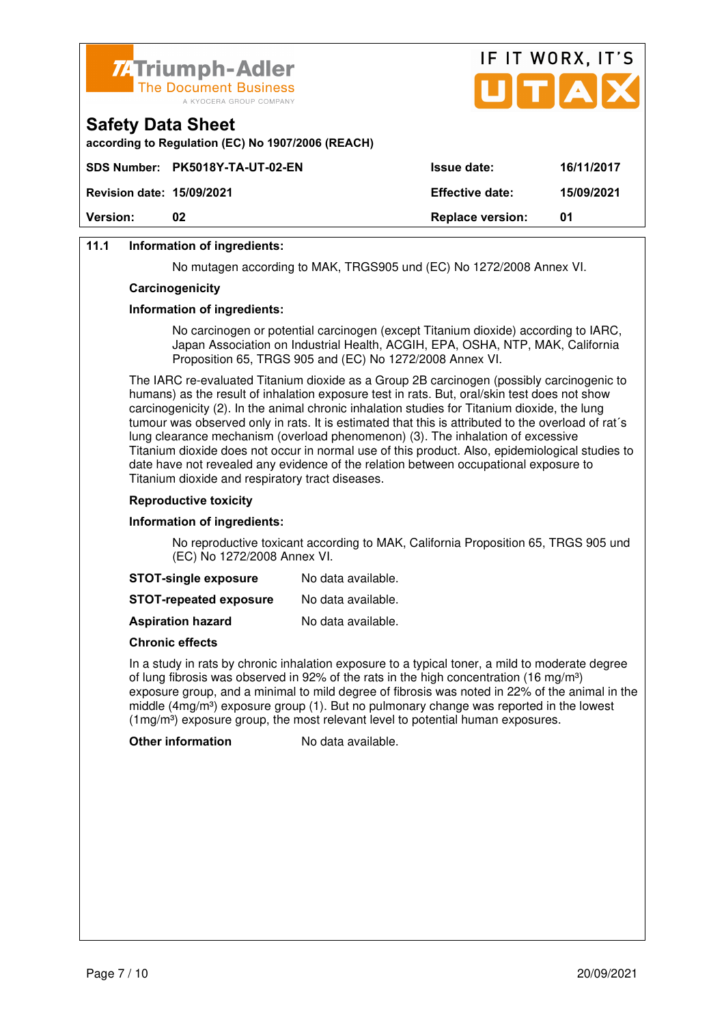

| <b>Version:</b>                  | 02                                                                                 | <b>Replace version:</b> | 01         |
|----------------------------------|------------------------------------------------------------------------------------|-------------------------|------------|
| <b>Revision date: 15/09/2021</b> |                                                                                    | <b>Effective date:</b>  | 15/09/2021 |
|                                  | SDS Number: PK5018Y-TA-UT-02-EN                                                    | <b>Issue date:</b>      | 16/11/2017 |
| <b>Safety Data Sheet</b>         | according to Regulation (EC) No 1907/2006 (REACH)                                  |                         |            |
|                                  | <b>74 Triumph-Adler</b><br><b>The Document Business</b><br>A KYOCERA GROUP COMPANY |                         | UTAX       |

IF IT WORX, IT'S

# **11.1 Information of ingredients:**

No mutagen according to MAK, TRGS905 und (EC) No 1272/2008 Annex VI.

#### **Carcinogenicity**

#### **Information of ingredients:**

 No carcinogen or potential carcinogen (except Titanium dioxide) according to IARC, Japan Association on Industrial Health, ACGIH, EPA, OSHA, NTP, MAK, California Proposition 65, TRGS 905 and (EC) No 1272/2008 Annex VI.

 The IARC re-evaluated Titanium dioxide as a Group 2B carcinogen (possibly carcinogenic to humans) as the result of inhalation exposure test in rats. But, oral/skin test does not show carcinogenicity (2). In the animal chronic inhalation studies for Titanium dioxide, the lung tumour was observed only in rats. It is estimated that this is attributed to the overload of rat´s lung clearance mechanism (overload phenomenon) (3). The inhalation of excessive Titanium dioxide does not occur in normal use of this product. Also, epidemiological studies to date have not revealed any evidence of the relation between occupational exposure to Titanium dioxide and respiratory tract diseases.

#### **Reproductive toxicity**

#### **Information of ingredients:**

 No reproductive toxicant according to MAK, California Proposition 65, TRGS 905 und (EC) No 1272/2008 Annex VI.

| <b>STOT-single exposure</b> | No data available. |
|-----------------------------|--------------------|
|-----------------------------|--------------------|

**STOT-repeated exposure** No data available.

**Aspiration hazard** No data available.

#### **Chronic effects**

 In a study in rats by chronic inhalation exposure to a typical toner, a mild to moderate degree of lung fibrosis was observed in 92% of the rats in the high concentration (16 mg/m<sup>3</sup>) exposure group, and a minimal to mild degree of fibrosis was noted in 22% of the animal in the middle  $(4mg/m<sup>3</sup>)$  exposure group (1). But no pulmonary change was reported in the lowest  $(1ma/m<sup>3</sup>)$  exposure group, the most relevant level to potential human exposures.

**Other information** No data available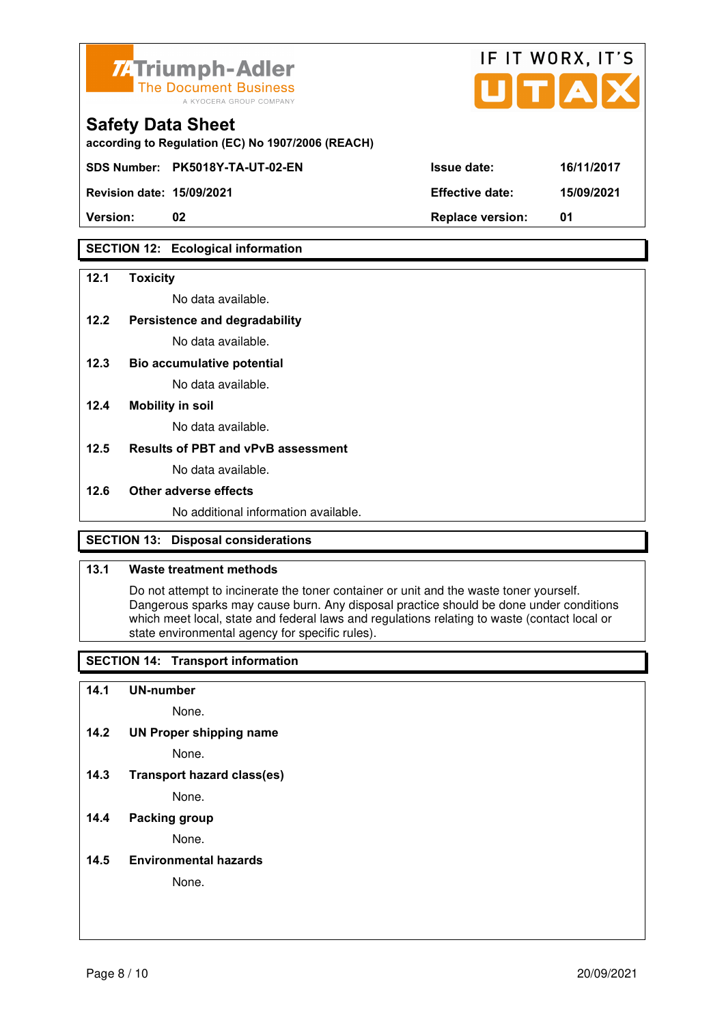

| <b>74 Triumph-Adler</b><br>The Document Business<br>A KYOCERA GROUP COMPANY   |                        | IF II WURX, II S<br>UTAX |
|-------------------------------------------------------------------------------|------------------------|--------------------------|
| <b>Safety Data Sheet</b><br>according to Regulation (EC) No 1907/2006 (REACH) |                        |                          |
| SDS Number: PK5018Y-TA-UT-02-EN                                               | <b>Issue date:</b>     | 16/11/2017               |
| <b>Revision date: 15/09/2021</b>                                              | <b>Effective date:</b> | 15/09/2021               |

 $FIT$   $MOR$ 

 $\overline{\phantom{a}}$ 

**Version: 02 Replace version: 01** 

# **SECTION 12: Ecological information**

### **12.1 Toxicity**

No data available.

### **12.2 Persistence and degradability**

No data available.

**12.3 Bio accumulative potential** 

No data available.

### **12.4 Mobility in soil**

No data available.

## **12.5 Results of PBT and vPvB assessment**

No data available.

### **12.6 Other adverse effects**

No additional information available.

# **SECTION 13: Disposal considerations**

## **13.1 Waste treatment methods**

 Do not attempt to incinerate the toner container or unit and the waste toner yourself. Dangerous sparks may cause burn. Any disposal practice should be done under conditions which meet local, state and federal laws and regulations relating to waste (contact local or state environmental agency for specific rules).

# **SECTION 14: Transport information**

### **14.1 UN-number**

None.

**14.2 UN Proper shipping name** 

None.

**14.3 Transport hazard class(es)** 

None.

# **14.4 Packing group**

None.

### **14.5 Environmental hazards**

None.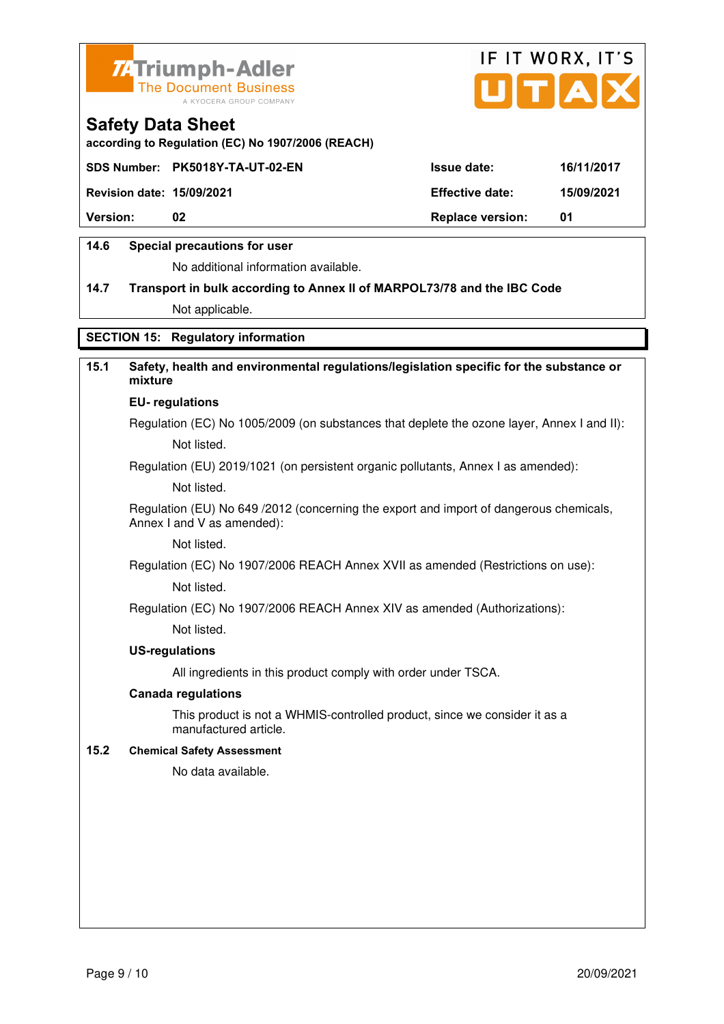



**according to Regulation (EC) No 1907/2006 (REACH)**

|                                  | SDS Number: PK5018Y-TA-UT-02-EN | <b>Issue date:</b>      | 16/11/2017 |
|----------------------------------|---------------------------------|-------------------------|------------|
| <b>Revision date: 15/09/2021</b> |                                 | <b>Effective date:</b>  | 15/09/2021 |
| <b>Version:</b>                  | 02                              | <b>Replace version:</b> | 01         |
|                                  |                                 |                         |            |

# **14.6 Special precautions for user**

No additional information available.

# **14.7 Transport in bulk according to Annex II of MARPOL73/78 and the IBC Code** Not applicable.

# **SECTION 15: Regulatory information**

# **15.1 Safety, health and environmental regulations/legislation specific for the substance or mixture**

### **EU- regulations**

Regulation (EC) No 1005/2009 (on substances that deplete the ozone layer, Annex I and II): Not listed.

Regulation (EU) 2019/1021 (on persistent organic pollutants, Annex I as amended):

Not listed.

 Regulation (EU) No 649 /2012 (concerning the export and import of dangerous chemicals, Annex I and V as amended):

Not listed.

 Regulation (EC) No 1907/2006 REACH Annex XVII as amended (Restrictions on use): Not listed.

Regulation (EC) No 1907/2006 REACH Annex XIV as amended (Authorizations):

Not listed.

### **US-regulations**

All ingredients in this product comply with order under TSCA.

### **Canada regulations**

 This product is not a WHMIS-controlled product, since we consider it as a manufactured article.

### **15.2 Chemical Safety Assessment**

No data available.